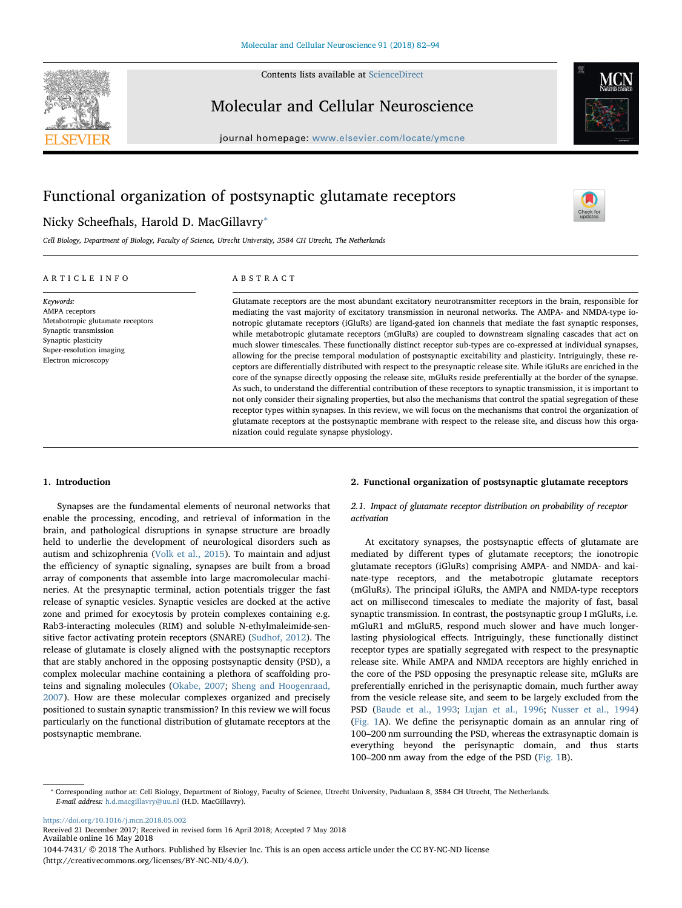

Contents lists available at [ScienceDirect](http://www.sciencedirect.com/science/journal/10447431)

Molecular and Cellular Neuroscience



 $\frac{1}{2}$ 

journal homepage: www.elsevier.com/locate/ $\frac{1}{2}$ 

# Functional organization of postsynaptic glutamate receptors

# Nicky Scheefhals, Harold D. MacGillavry<sup>®</sup>

Cell Biology, Department of Biology, Faculty of Science, Utrecht University, 3584 CH Utrecht, The Netherlands

### ARTICLE INFO

Keywords: AMPA receptors Metabotropic glutamate receptors Synaptic transmission Synaptic plasticity Super-resolution imaging Electron microscopy

# ABSTRACT

Glutamate receptors are the most abundant excitatory neurotransmitter receptors in the brain, responsible for mediating the vast majority of excitatory transmission in neuronal networks. The AMPA- and NMDA-type ionotropic glutamate receptors (iGluRs) are ligand-gated ion channels that mediate the fast synaptic responses, while metabotropic glutamate receptors (mGluRs) are coupled to downstream signaling cascades that act on much slower timescales. These functionally distinct receptor sub-types are co-expressed at individual synapses, allowing for the precise temporal modulation of postsynaptic excitability and plasticity. Intriguingly, these receptors are differentially distributed with respect to the presynaptic release site. While iGluRs are enriched in the core of the synapse directly opposing the release site, mGluRs reside preferentially at the border of the synapse. As such, to understand the differential contribution of these receptors to synaptic transmission, it is important to not only consider their signaling properties, but also the mechanisms that control the spatial segregation of these receptor types within synapses. In this review, we will focus on the mechanisms that control the organization of glutamate receptors at the postsynaptic membrane with respect to the release site, and discuss how this organization could regulate synapse physiology.

# 1. Introduction

Synapses are the fundamental elements of neuronal networks that enable the processing, encoding, and retrieval of information in the brain, and pathological disruptions in synapse structure are broadly held to underlie the development of neurological disorders such as autism and schizophrenia [\(Volk et al., 2015](#page-12-0)). To maintain and adjust the efficiency of synaptic signaling, synapses are built from a broad array of components that assemble into large macromolecular machineries. At the presynaptic terminal, action potentials trigger the fast release of synaptic vesicles. Synaptic vesicles are docked at the active zone and primed for exocytosis by protein complexes containing e.g. Rab3-interacting molecules (RIM) and soluble N-ethylmaleimide-sensitive factor activating protein receptors (SNARE) ([Sudhof, 2012\)](#page-12-1). The release of glutamate is closely aligned with the postsynaptic receptors that are stably anchored in the opposing postsynaptic density (PSD), a complex molecular machine containing a plethora of scaffolding proteins and signaling molecules ([Okabe, 2007;](#page-11-0) [Sheng and Hoogenraad,](#page-12-2) [2007\)](#page-12-2). How are these molecular complexes organized and precisely positioned to sustain synaptic transmission? In this review we will focus particularly on the functional distribution of glutamate receptors at the postsynaptic membrane.

# 2. Functional organization of postsynaptic glutamate receptors

# 2.1. Impact of glutamate receptor distribution on probability of receptor activation

At excitatory synapses, the postsynaptic effects of glutamate are mediated by different types of glutamate receptors; the ionotropic glutamate receptors (iGluRs) comprising AMPA- and NMDA- and kainate-type receptors, and the metabotropic glutamate receptors (mGluRs). The principal iGluRs, the AMPA and NMDA-type receptors act on millisecond timescales to mediate the majority of fast, basal synaptic transmission. In contrast, the postsynaptic group I mGluRs, i.e. mGluR1 and mGluR5, respond much slower and have much longerlasting physiological effects. Intriguingly, these functionally distinct receptor types are spatially segregated with respect to the presynaptic release site. While AMPA and NMDA receptors are highly enriched in the core of the PSD opposing the presynaptic release site, mGluRs are preferentially enriched in the perisynaptic domain, much further away from the vesicle release site, and seem to be largely excluded from the PSD [\(Baude et al., 1993](#page-9-0); [Lujan et al., 1996](#page-11-1); [Nusser et al., 1994\)](#page-11-2) ([Fig. 1](#page-1-0)A). We define the perisynaptic domain as an annular ring of 100–200 nm surrounding the PSD, whereas the extrasynaptic domain is everything beyond the perisynaptic domain, and thus starts 100–200 nm away from the edge of the PSD [\(Fig. 1](#page-1-0)B).

<https://doi.org/10.1016/j.mcn.2018.05.002> Received 21 December 2017; Received in revised form 16 April 2018; Accepted 7 May 2018 Available online 16 May 2018 1044-7431/ © 2018 The Authors. Published by Elsevier Inc. This is an open access article under the CC BY-NC-ND license (http://creativecommons.org/licenses/BY-NC-ND/4.0/).

<span id="page-0-0"></span><sup>⁎</sup> Corresponding author at: Cell Biology, Department of Biology, Faculty of Science, Utrecht University, Padualaan 8, 3584 CH Utrecht, The Netherlands. E-mail address: [h.d.macgillavry@uu.nl](mailto:h.d.macgillavry@uu.nl) (H.D. MacGillavry).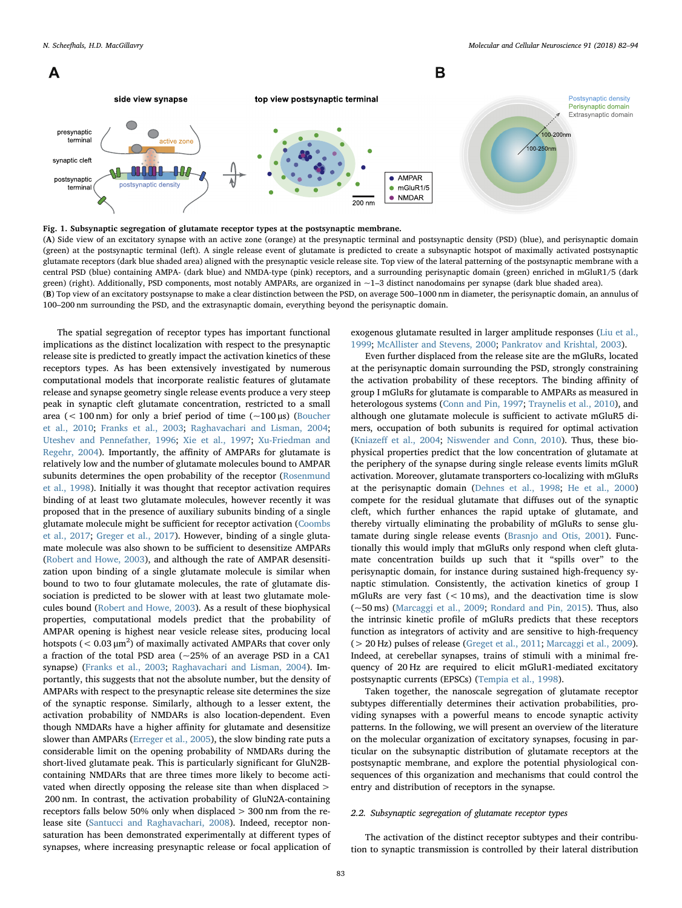<span id="page-1-0"></span>

Fig. 1. Subsynaptic segregation of glutamate receptor types at the postsynaptic membrane.

100–200 nm surrounding the PSD, and the extrasynaptic domain, everything beyond the perisynaptic domain.

(A) Side view of an excitatory synapse with an active zone (orange) at the presynaptic terminal and postsynaptic density (PSD) (blue), and perisynaptic domain (green) at the postsynaptic terminal (left). A single release event of glutamate is predicted to create a subsynaptic hotspot of maximally activated postsynaptic glutamate receptors (dark blue shaded area) aligned with the presynaptic vesicle release site. Top view of the lateral patterning of the postsynaptic membrane with a central PSD (blue) containing AMPA- (dark blue) and NMDA-type (pink) receptors, and a surrounding perisynaptic domain (green) enriched in mGluR1/5 (dark green) (right). Additionally, PSD components, most notably AMPARs, are organized in ~1–3 distinct nanodomains per synapse (dark blue shaded area). (B) Top view of an excitatory postsynapse to make a clear distinction between the PSD, on average 500–1000 nm in diameter, the perisynaptic domain, an annulus of

The spatial segregation of receptor types has important functional implications as the distinct localization with respect to the presynaptic release site is predicted to greatly impact the activation kinetics of these receptors types. As has been extensively investigated by numerous computational models that incorporate realistic features of glutamate release and synapse geometry single release events produce a very steep peak in synaptic cleft glutamate concentration, restricted to a small area (< 100 nm) for only a brief period of time (~100 μs) ([Boucher](#page-9-1) [et al., 2010;](#page-9-1) [Franks et al., 2003](#page-10-0); [Raghavachari and Lisman, 2004](#page-11-3); [Uteshev and Pennefather, 1996;](#page-12-3) [Xie et al., 1997](#page-12-4); [Xu-Friedman and](#page-12-5) [Regehr, 2004](#page-12-5)). Importantly, the affinity of AMPARs for glutamate is relatively low and the number of glutamate molecules bound to AMPAR subunits determines the open probability of the receptor [\(Rosenmund](#page-12-6) [et al., 1998\)](#page-12-6). Initially it was thought that receptor activation requires binding of at least two glutamate molecules, however recently it was proposed that in the presence of auxiliary subunits binding of a single glutamate molecule might be sufficient for receptor activation ([Coombs](#page-9-2) [et al., 2017](#page-9-2); [Greger et al., 2017\)](#page-10-1). However, binding of a single glutamate molecule was also shown to be sufficient to desensitize AMPARs ([Robert and Howe, 2003](#page-11-4)), and although the rate of AMPAR desensitization upon binding of a single glutamate molecule is similar when bound to two to four glutamate molecules, the rate of glutamate dissociation is predicted to be slower with at least two glutamate molecules bound ([Robert and Howe, 2003\)](#page-11-4). As a result of these biophysical properties, computational models predict that the probability of AMPAR opening is highest near vesicle release sites, producing local hotspots (  $< 0.03 \,\mathrm{\upmu m}^2$ ) of maximally activated AMPARs that cover only a fraction of the total PSD area (~25% of an average PSD in a CA1 synapse) ([Franks et al., 2003;](#page-10-0) [Raghavachari and Lisman, 2004\)](#page-11-3). Importantly, this suggests that not the absolute number, but the density of AMPARs with respect to the presynaptic release site determines the size of the synaptic response. Similarly, although to a lesser extent, the activation probability of NMDARs is also location-dependent. Even though NMDARs have a higher affinity for glutamate and desensitize slower than AMPARs [\(Erreger et al., 2005](#page-10-2)), the slow binding rate puts a considerable limit on the opening probability of NMDARs during the short-lived glutamate peak. This is particularly significant for GluN2Bcontaining NMDARs that are three times more likely to become activated when directly opposing the release site than when displaced > 200 nm. In contrast, the activation probability of GluN2A-containing receptors falls below 50% only when displaced > 300 nm from the release site ([Santucci and Raghavachari, 2008\)](#page-12-7). Indeed, receptor nonsaturation has been demonstrated experimentally at different types of synapses, where increasing presynaptic release or focal application of

exogenous glutamate resulted in larger amplitude responses [\(Liu et al.,](#page-11-5) [1999;](#page-11-5) [McAllister and Stevens, 2000](#page-11-6); [Pankratov and Krishtal, 2003\)](#page-11-7).

Even further displaced from the release site are the mGluRs, located at the perisynaptic domain surrounding the PSD, strongly constraining the activation probability of these receptors. The binding affinity of group I mGluRs for glutamate is comparable to AMPARs as measured in heterologous systems ([Conn and Pin, 1997](#page-9-3); [Traynelis et al., 2010\)](#page-12-8), and although one glutamate molecule is sufficient to activate mGluR5 dimers, occupation of both subunits is required for optimal activation (Kniazeff [et al., 2004;](#page-11-8) [Niswender and Conn, 2010](#page-11-9)). Thus, these biophysical properties predict that the low concentration of glutamate at the periphery of the synapse during single release events limits mGluR activation. Moreover, glutamate transporters co-localizing with mGluRs at the perisynaptic domain [\(Dehnes et al., 1998](#page-10-3); [He et al., 2000\)](#page-10-4) compete for the residual glutamate that diffuses out of the synaptic cleft, which further enhances the rapid uptake of glutamate, and thereby virtually eliminating the probability of mGluRs to sense glutamate during single release events ([Brasnjo and Otis, 2001\)](#page-9-4). Functionally this would imply that mGluRs only respond when cleft glutamate concentration builds up such that it "spills over" to the perisynaptic domain, for instance during sustained high-frequency synaptic stimulation. Consistently, the activation kinetics of group I mGluRs are very fast  $( $10 \text{ ms}$ ),$  and the deactivation time is slow (~50 ms) ([Marcaggi et al., 2009](#page-11-10); [Rondard and Pin, 2015](#page-11-11)). Thus, also the intrinsic kinetic profile of mGluRs predicts that these receptors function as integrators of activity and are sensitive to high-frequency (> 20 Hz) pulses of release [\(Greget et al., 2011;](#page-10-5) [Marcaggi et al., 2009](#page-11-10)). Indeed, at cerebellar synapses, trains of stimuli with a minimal frequency of 20 Hz are required to elicit mGluR1-mediated excitatory postsynaptic currents (EPSCs) ([Tempia et al., 1998\)](#page-12-9).

Taken together, the nanoscale segregation of glutamate receptor subtypes differentially determines their activation probabilities, providing synapses with a powerful means to encode synaptic activity patterns. In the following, we will present an overview of the literature on the molecular organization of excitatory synapses, focusing in particular on the subsynaptic distribution of glutamate receptors at the postsynaptic membrane, and explore the potential physiological consequences of this organization and mechanisms that could control the entry and distribution of receptors in the synapse.

#### 2.2. Subsynaptic segregation of glutamate receptor types

The activation of the distinct receptor subtypes and their contribution to synaptic transmission is controlled by their lateral distribution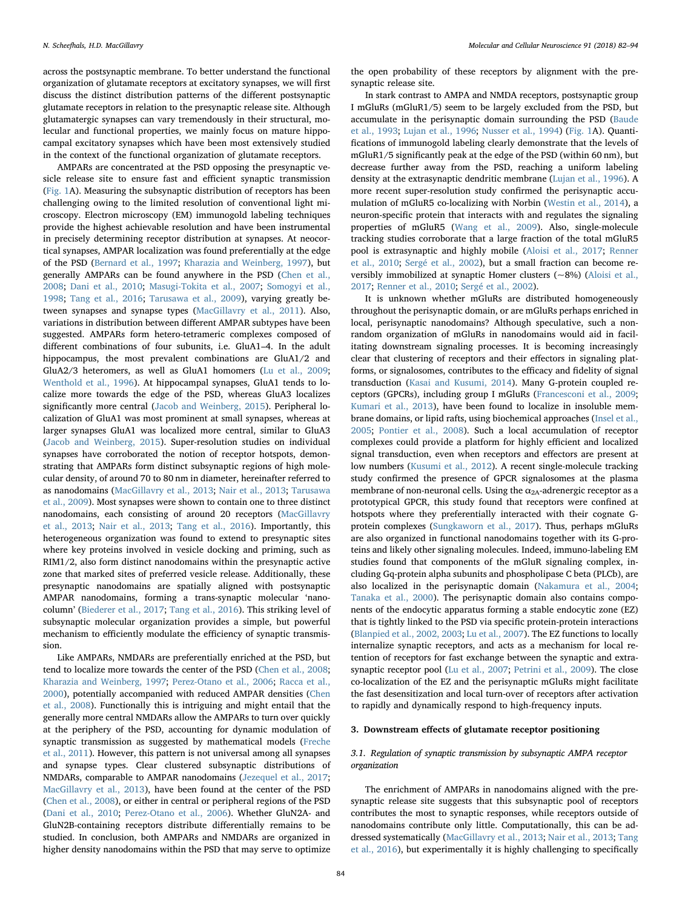across the postsynaptic membrane. To better understand the functional organization of glutamate receptors at excitatory synapses, we will first discuss the distinct distribution patterns of the different postsynaptic glutamate receptors in relation to the presynaptic release site. Although glutamatergic synapses can vary tremendously in their structural, molecular and functional properties, we mainly focus on mature hippocampal excitatory synapses which have been most extensively studied in the context of the functional organization of glutamate receptors.

AMPARs are concentrated at the PSD opposing the presynaptic vesicle release site to ensure fast and efficient synaptic transmission ([Fig. 1A](#page-1-0)). Measuring the subsynaptic distribution of receptors has been challenging owing to the limited resolution of conventional light microscopy. Electron microscopy (EM) immunogold labeling techniques provide the highest achievable resolution and have been instrumental in precisely determining receptor distribution at synapses. At neocortical synapses, AMPAR localization was found preferentially at the edge of the PSD ([Bernard et al., 1997;](#page-9-5) [Kharazia and Weinberg, 1997\)](#page-10-6), but generally AMPARs can be found anywhere in the PSD ([Chen et al.,](#page-9-6) [2008;](#page-9-6) [Dani et al., 2010;](#page-10-7) [Masugi-Tokita et al., 2007](#page-11-12); [Somogyi et al.,](#page-12-10) [1998;](#page-12-10) [Tang et al., 2016;](#page-12-11) [Tarusawa et al., 2009\)](#page-12-12), varying greatly between synapses and synapse types ([MacGillavry et al., 2011\)](#page-11-13). Also, variations in distribution between different AMPAR subtypes have been suggested. AMPARs form hetero-tetrameric complexes composed of different combinations of four subunits, i.e. GluA1–4. In the adult hippocampus, the most prevalent combinations are GluA1/2 and GluA2/3 heteromers, as well as GluA1 homomers [\(Lu et al., 2009](#page-11-14); [Wenthold et al., 1996](#page-12-13)). At hippocampal synapses, GluA1 tends to localize more towards the edge of the PSD, whereas GluA3 localizes significantly more central [\(Jacob and Weinberg, 2015\)](#page-10-8). Peripheral localization of GluA1 was most prominent at small synapses, whereas at larger synapses GluA1 was localized more central, similar to GluA3 ([Jacob and Weinberg, 2015](#page-10-8)). Super-resolution studies on individual synapses have corroborated the notion of receptor hotspots, demonstrating that AMPARs form distinct subsynaptic regions of high molecular density, of around 70 to 80 nm in diameter, hereinafter referred to as nanodomains [\(MacGillavry et al., 2013](#page-11-15); [Nair et al., 2013;](#page-11-16) [Tarusawa](#page-12-12) [et al., 2009](#page-12-12)). Most synapses were shown to contain one to three distinct nanodomains, each consisting of around 20 receptors ([MacGillavry](#page-11-15) [et al., 2013;](#page-11-15) [Nair et al., 2013;](#page-11-16) [Tang et al., 2016\)](#page-12-11). Importantly, this heterogeneous organization was found to extend to presynaptic sites where key proteins involved in vesicle docking and priming, such as RIM1/2, also form distinct nanodomains within the presynaptic active zone that marked sites of preferred vesicle release. Additionally, these presynaptic nanodomains are spatially aligned with postsynaptic AMPAR nanodomains, forming a trans-synaptic molecular 'nanocolumn' (Biederer [et al., 2017;](#page-9-7) [Tang et al., 2016](#page-12-11)). This striking level of subsynaptic molecular organization provides a simple, but powerful mechanism to efficiently modulate the efficiency of synaptic transmission.

Like AMPARs, NMDARs are preferentially enriched at the PSD, but tend to localize more towards the center of the PSD ([Chen et al., 2008](#page-9-6); [Kharazia and Weinberg, 1997](#page-10-6); [Perez-Otano et al., 2006;](#page-11-17) [Racca et al.,](#page-11-18) [2000\)](#page-11-18), potentially accompanied with reduced AMPAR densities ([Chen](#page-9-6) [et al., 2008](#page-9-6)). Functionally this is intriguing and might entail that the generally more central NMDARs allow the AMPARs to turn over quickly at the periphery of the PSD, accounting for dynamic modulation of synaptic transmission as suggested by mathematical models [\(Freche](#page-10-9) [et al., 2011\)](#page-10-9). However, this pattern is not universal among all synapses and synapse types. Clear clustered subsynaptic distributions of NMDARs, comparable to AMPAR nanodomains ([Jezequel et al., 2017](#page-10-10); [MacGillavry et al., 2013](#page-11-15)), have been found at the center of the PSD ([Chen et al., 2008\)](#page-9-6), or either in central or peripheral regions of the PSD ([Dani et al., 2010](#page-10-7); [Perez-Otano et al., 2006\)](#page-11-17). Whether GluN2A- and GluN2B-containing receptors distribute differentially remains to be studied. In conclusion, both AMPARs and NMDARs are organized in higher density nanodomains within the PSD that may serve to optimize

the open probability of these receptors by alignment with the presynaptic release site.

In stark contrast to AMPA and NMDA receptors, postsynaptic group I mGluRs (mGluR1/5) seem to be largely excluded from the PSD, but accumulate in the perisynaptic domain surrounding the PSD ([Baude](#page-9-0) [et al., 1993;](#page-9-0) [Lujan et al., 1996](#page-11-1); [Nusser et al., 1994](#page-11-2)) [\(Fig. 1A](#page-1-0)). Quantifications of immunogold labeling clearly demonstrate that the levels of mGluR1/5 significantly peak at the edge of the PSD (within 60 nm), but decrease further away from the PSD, reaching a uniform labeling density at the extrasynaptic dendritic membrane ([Lujan et al., 1996\)](#page-11-1). A more recent super-resolution study confirmed the perisynaptic accumulation of mGluR5 co-localizing with Norbin [\(Westin et al., 2014\)](#page-12-14), a neuron-specific protein that interacts with and regulates the signaling properties of mGluR5 [\(Wang et al., 2009](#page-12-15)). Also, single-molecule tracking studies corroborate that a large fraction of the total mGluR5 pool is extrasynaptic and highly mobile ([Aloisi et al., 2017;](#page-9-8) [Renner](#page-11-19) [et al., 2010;](#page-11-19) [Sergé et al., 2002\)](#page-12-16), but a small fraction can become reversibly immobilized at synaptic Homer clusters (~8%) ([Aloisi et al.,](#page-9-8) [2017;](#page-9-8) [Renner et al., 2010;](#page-11-19) [Sergé et al., 2002\)](#page-12-16).

It is unknown whether mGluRs are distributed homogeneously throughout the perisynaptic domain, or are mGluRs perhaps enriched in local, perisynaptic nanodomains? Although speculative, such a nonrandom organization of mGluRs in nanodomains would aid in facilitating downstream signaling processes. It is becoming increasingly clear that clustering of receptors and their effectors in signaling platforms, or signalosomes, contributes to the efficacy and fidelity of signal transduction ([Kasai and Kusumi, 2014](#page-10-11)). Many G-protein coupled receptors (GPCRs), including group I mGluRs ([Francesconi et al., 2009](#page-10-12); [Kumari et al., 2013](#page-11-20)), have been found to localize in insoluble membrane domains, or lipid rafts, using biochemical approaches ([Insel et al.,](#page-10-13) [2005;](#page-10-13) [Pontier et al., 2008\)](#page-11-21). Such a local accumulation of receptor complexes could provide a platform for highly efficient and localized signal transduction, even when receptors and effectors are present at low numbers ([Kusumi et al., 2012\)](#page-11-22). A recent single-molecule tracking study confirmed the presence of GPCR signalosomes at the plasma membrane of non-neuronal cells. Using the  $\alpha_{2A}$ -adrenergic receptor as a prototypical GPCR, this study found that receptors were confined at hotspots where they preferentially interacted with their cognate Gprotein complexes [\(Sungkaworn et al., 2017\)](#page-12-17). Thus, perhaps mGluRs are also organized in functional nanodomains together with its G-proteins and likely other signaling molecules. Indeed, immuno-labeling EM studies found that components of the mGluR signaling complex, including Gq-protein alpha subunits and phospholipase C beta (PLCb), are also localized in the perisynaptic domain ([Nakamura et al., 2004](#page-11-23); [Tanaka et al., 2000](#page-12-18)). The perisynaptic domain also contains components of the endocytic apparatus forming a stable endocytic zone (EZ) that is tightly linked to the PSD via specific protein-protein interactions ([Blanpied et al., 2002, 2003;](#page-9-9) [Lu et al., 2007\)](#page-11-24). The EZ functions to locally internalize synaptic receptors, and acts as a mechanism for local retention of receptors for fast exchange between the synaptic and extrasynaptic receptor pool ([Lu et al., 2007](#page-11-24); [Petrini et al., 2009](#page-11-25)). The close co-localization of the EZ and the perisynaptic mGluRs might facilitate the fast desensitization and local turn-over of receptors after activation to rapidly and dynamically respond to high-frequency inputs.

# 3. Downstream effects of glutamate receptor positioning

# 3.1. Regulation of synaptic transmission by subsynaptic AMPA receptor organization

The enrichment of AMPARs in nanodomains aligned with the presynaptic release site suggests that this subsynaptic pool of receptors contributes the most to synaptic responses, while receptors outside of nanodomains contribute only little. Computationally, this can be addressed systematically ([MacGillavry et al., 2013;](#page-11-15) [Nair et al., 2013;](#page-11-16) [Tang](#page-12-11) [et al., 2016](#page-12-11)), but experimentally it is highly challenging to specifically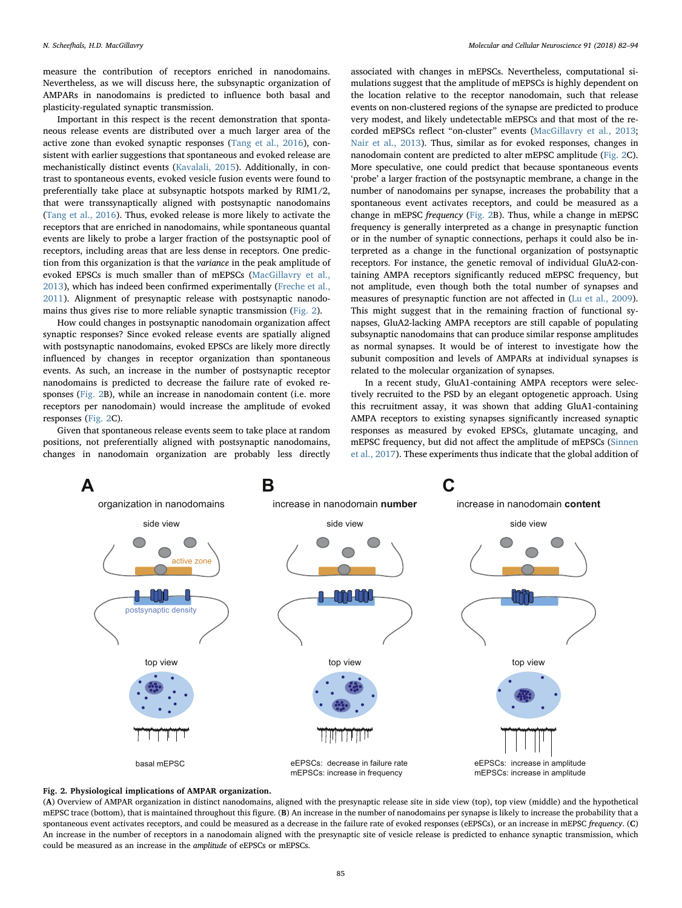measure the contribution of receptors enriched in nanodomains. Nevertheless, as we will discuss here, the subsynaptic organization of AMPARs in nanodomains is predicted to influence both basal and plasticity-regulated synaptic transmission.

Important in this respect is the recent demonstration that spontaneous release events are distributed over a much larger area of the active zone than evoked synaptic responses [\(Tang et al., 2016\)](#page-12-11), consistent with earlier suggestions that spontaneous and evoked release are mechanistically distinct events ([Kavalali, 2015\)](#page-10-14). Additionally, in contrast to spontaneous events, evoked vesicle fusion events were found to preferentially take place at subsynaptic hotspots marked by RIM1/2, that were transsynaptically aligned with postsynaptic nanodomains ([Tang et al., 2016\)](#page-12-11). Thus, evoked release is more likely to activate the receptors that are enriched in nanodomains, while spontaneous quantal events are likely to probe a larger fraction of the postsynaptic pool of receptors, including areas that are less dense in receptors. One prediction from this organization is that the variance in the peak amplitude of evoked EPSCs is much smaller than of mEPSCs [\(MacGillavry et al.,](#page-11-15) [2013\)](#page-11-15), which has indeed been confirmed experimentally ([Freche et al.,](#page-10-9) [2011\)](#page-10-9). Alignment of presynaptic release with postsynaptic nanodomains thus gives rise to more reliable synaptic transmission [\(Fig. 2\)](#page-3-0).

How could changes in postsynaptic nanodomain organization affect synaptic responses? Since evoked release events are spatially aligned with postsynaptic nanodomains, evoked EPSCs are likely more directly influenced by changes in receptor organization than spontaneous events. As such, an increase in the number of postsynaptic receptor nanodomains is predicted to decrease the failure rate of evoked responses [\(Fig. 2](#page-3-0)B), while an increase in nanodomain content (i.e. more receptors per nanodomain) would increase the amplitude of evoked responses [\(Fig. 2](#page-3-0)C).

Given that spontaneous release events seem to take place at random positions, not preferentially aligned with postsynaptic nanodomains, changes in nanodomain organization are probably less directly

associated with changes in mEPSCs. Nevertheless, computational simulations suggest that the amplitude of mEPSCs is highly dependent on the location relative to the receptor nanodomain, such that release events on non-clustered regions of the synapse are predicted to produce very modest, and likely undetectable mEPSCs and that most of the recorded mEPSCs reflect "on-cluster" events [\(MacGillavry et al., 2013](#page-11-15); [Nair et al., 2013\)](#page-11-16). Thus, similar as for evoked responses, changes in nanodomain content are predicted to alter mEPSC amplitude [\(Fig. 2](#page-3-0)C). More speculative, one could predict that because spontaneous events 'probe' a larger fraction of the postsynaptic membrane, a change in the number of nanodomains per synapse, increases the probability that a spontaneous event activates receptors, and could be measured as a change in mEPSC frequency [\(Fig. 2B](#page-3-0)). Thus, while a change in mEPSC frequency is generally interpreted as a change in presynaptic function or in the number of synaptic connections, perhaps it could also be interpreted as a change in the functional organization of postsynaptic receptors. For instance, the genetic removal of individual GluA2-containing AMPA receptors significantly reduced mEPSC frequency, but not amplitude, even though both the total number of synapses and measures of presynaptic function are not affected in ([Lu et al., 2009](#page-11-14)). This might suggest that in the remaining fraction of functional synapses, GluA2-lacking AMPA receptors are still capable of populating subsynaptic nanodomains that can produce similar response amplitudes as normal synapses. It would be of interest to investigate how the subunit composition and levels of AMPARs at individual synapses is related to the molecular organization of synapses.

In a recent study, GluA1-containing AMPA receptors were selectively recruited to the PSD by an elegant optogenetic approach. Using this recruitment assay, it was shown that adding GluA1-containing AMPA receptors to existing synapses significantly increased synaptic responses as measured by evoked EPSCs, glutamate uncaging, and mEPSC frequency, but did not affect the amplitude of mEPSCs ([Sinnen](#page-12-19) [et al., 2017\)](#page-12-19). These experiments thus indicate that the global addition of

<span id="page-3-0"></span>

# Fig. 2. Physiological implications of AMPAR organization.

(A) Overview of AMPAR organization in distinct nanodomains, aligned with the presynaptic release site in side view (top), top view (middle) and the hypothetical mEPSC trace (bottom), that is maintained throughout this figure. (B) An increase in the number of nanodomains per synapse is likely to increase the probability that a spontaneous event activates receptors, and could be measured as a decrease in the failure rate of evoked responses (eEPSCs), or an increase in mEPSC frequency. (C) An increase in the number of receptors in a nanodomain aligned with the presynaptic site of vesicle release is predicted to enhance synaptic transmission, which could be measured as an increase in the amplitude of eEPSCs or mEPSCs.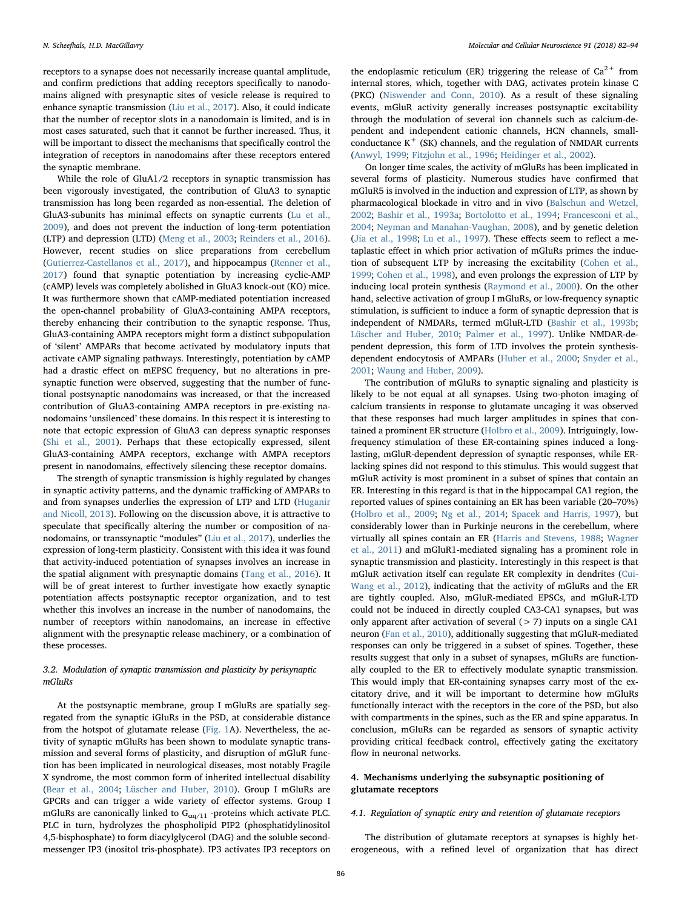receptors to a synapse does not necessarily increase quantal amplitude, and confirm predictions that adding receptors specifically to nanodomains aligned with presynaptic sites of vesicle release is required to enhance synaptic transmission [\(Liu et al., 2017\)](#page-11-26). Also, it could indicate that the number of receptor slots in a nanodomain is limited, and is in most cases saturated, such that it cannot be further increased. Thus, it will be important to dissect the mechanisms that specifically control the integration of receptors in nanodomains after these receptors entered the synaptic membrane.

While the role of GluA1/2 receptors in synaptic transmission has been vigorously investigated, the contribution of GluA3 to synaptic transmission has long been regarded as non-essential. The deletion of GluA3-subunits has minimal effects on synaptic currents [\(Lu et al.,](#page-11-14) [2009\)](#page-11-14), and does not prevent the induction of long-term potentiation (LTP) and depression (LTD) ([Meng et al., 2003;](#page-11-27) [Reinders et al., 2016](#page-11-28)). However, recent studies on slice preparations from cerebellum ([Gutierrez-Castellanos et al., 2017](#page-10-15)), and hippocampus [\(Renner et al.,](#page-11-29) [2017\)](#page-11-29) found that synaptic potentiation by increasing cyclic-AMP (cAMP) levels was completely abolished in GluA3 knock-out (KO) mice. It was furthermore shown that cAMP-mediated potentiation increased the open-channel probability of GluA3-containing AMPA receptors, thereby enhancing their contribution to the synaptic response. Thus, GluA3-containing AMPA receptors might form a distinct subpopulation of 'silent' AMPARs that become activated by modulatory inputs that activate cAMP signaling pathways. Interestingly, potentiation by cAMP had a drastic effect on mEPSC frequency, but no alterations in presynaptic function were observed, suggesting that the number of functional postsynaptic nanodomains was increased, or that the increased contribution of GluA3-containing AMPA receptors in pre-existing nanodomains 'unsilenced' these domains. In this respect it is interesting to note that ectopic expression of GluA3 can depress synaptic responses ([Shi et al., 2001](#page-12-20)). Perhaps that these ectopically expressed, silent GluA3-containing AMPA receptors, exchange with AMPA receptors present in nanodomains, effectively silencing these receptor domains.

The strength of synaptic transmission is highly regulated by changes in synaptic activity patterns, and the dynamic trafficking of AMPARs to and from synapses underlies the expression of LTP and LTD ([Huganir](#page-10-16) [and Nicoll, 2013\)](#page-10-16). Following on the discussion above, it is attractive to speculate that specifically altering the number or composition of nanodomains, or transsynaptic "modules" ([Liu et al., 2017](#page-11-26)), underlies the expression of long-term plasticity. Consistent with this idea it was found that activity-induced potentiation of synapses involves an increase in the spatial alignment with presynaptic domains ([Tang et al., 2016](#page-12-11)). It will be of great interest to further investigate how exactly synaptic potentiation affects postsynaptic receptor organization, and to test whether this involves an increase in the number of nanodomains, the number of receptors within nanodomains, an increase in effective alignment with the presynaptic release machinery, or a combination of these processes.

# 3.2. Modulation of synaptic transmission and plasticity by perisynaptic mGluRs

At the postsynaptic membrane, group I mGluRs are spatially segregated from the synaptic iGluRs in the PSD, at considerable distance from the hotspot of glutamate release ([Fig. 1A](#page-1-0)). Nevertheless, the activity of synaptic mGluRs has been shown to modulate synaptic transmission and several forms of plasticity, and disruption of mGluR function has been implicated in neurological diseases, most notably Fragile X syndrome, the most common form of inherited intellectual disability ([Bear et al., 2004;](#page-9-10) [Lüscher and Huber, 2010](#page-11-30)). Group I mGluRs are GPCRs and can trigger a wide variety of effector systems. Group I mGluRs are canonically linked to  $G_{\alpha\alpha/11}$  -proteins which activate PLC. PLC in turn, hydrolyzes the phospholipid PIP2 (phosphatidylinositol 4,5-bisphosphate) to form diacylglycerol (DAG) and the soluble secondmessenger IP3 (inositol tris-phosphate). IP3 activates IP3 receptors on

the endoplasmic reticulum (ER) triggering the release of  $Ca^{2+}$  from internal stores, which, together with DAG, activates protein kinase C (PKC) ([Niswender and Conn, 2010\)](#page-11-9). As a result of these signaling events, mGluR activity generally increases postsynaptic excitability through the modulation of several ion channels such as calcium-dependent and independent cationic channels, HCN channels, smallconductance  $K^+$  (SK) channels, and the regulation of NMDAR currents ([Anwyl, 1999](#page-9-11); [Fitzjohn et al., 1996](#page-10-17); [Heidinger et al., 2002\)](#page-10-18).

On longer time scales, the activity of mGluRs has been implicated in several forms of plasticity. Numerous studies have confirmed that mGluR5 is involved in the induction and expression of LTP, as shown by pharmacological blockade in vitro and in vivo [\(Balschun and Wetzel,](#page-9-12) [2002;](#page-9-12) [Bashir et al., 1993a;](#page-9-13) [Bortolotto et al., 1994;](#page-9-14) [Francesconi et al.,](#page-10-19) [2004;](#page-10-19) [Neyman and Manahan-Vaughan, 2008](#page-11-31)), and by genetic deletion ([Jia et al., 1998;](#page-10-20) [Lu et al., 1997](#page-11-32)). These effects seem to reflect a metaplastic effect in which prior activation of mGluRs primes the induction of subsequent LTP by increasing the excitability ([Cohen et al.,](#page-9-15) [1999;](#page-9-15) [Cohen et al., 1998\)](#page-9-16), and even prolongs the expression of LTP by inducing local protein synthesis [\(Raymond et al., 2000\)](#page-11-33). On the other hand, selective activation of group I mGluRs, or low-frequency synaptic stimulation, is sufficient to induce a form of synaptic depression that is independent of NMDARs, termed mGluR-LTD [\(Bashir et al., 1993b](#page-9-17); [Lüscher and Huber, 2010;](#page-11-30) [Palmer et al., 1997](#page-11-34)). Unlike NMDAR-dependent depression, this form of LTD involves the protein synthesisdependent endocytosis of AMPARs ([Huber et al., 2000](#page-10-21); [Snyder et al.,](#page-12-21) [2001;](#page-12-21) [Waung and Huber, 2009](#page-12-22)).

The contribution of mGluRs to synaptic signaling and plasticity is likely to be not equal at all synapses. Using two-photon imaging of calcium transients in response to glutamate uncaging it was observed that these responses had much larger amplitudes in spines that contained a prominent ER structure [\(Holbro et al., 2009](#page-10-22)). Intriguingly, lowfrequency stimulation of these ER-containing spines induced a longlasting, mGluR-dependent depression of synaptic responses, while ERlacking spines did not respond to this stimulus. This would suggest that mGluR activity is most prominent in a subset of spines that contain an ER. Interesting in this regard is that in the hippocampal CA1 region, the reported values of spines containing an ER has been variable (20–70%) ([Holbro et al., 2009](#page-10-22); [Ng et al., 2014;](#page-11-35) [Spacek and Harris, 1997](#page-12-23)), but considerably lower than in Purkinje neurons in the cerebellum, where virtually all spines contain an ER ([Harris and Stevens, 1988](#page-10-23); [Wagner](#page-12-24) [et al., 2011](#page-12-24)) and mGluR1-mediated signaling has a prominent role in synaptic transmission and plasticity. Interestingly in this respect is that mGluR activation itself can regulate ER complexity in dendrites [\(Cui-](#page-10-24)[Wang et al., 2012\)](#page-10-24), indicating that the activity of mGluRs and the ER are tightly coupled. Also, mGluR-mediated EPSCs, and mGluR-LTD could not be induced in directly coupled CA3-CA1 synapses, but was only apparent after activation of several  $(> 7)$  inputs on a single CA1 neuron ([Fan et al., 2010](#page-10-25)), additionally suggesting that mGluR-mediated responses can only be triggered in a subset of spines. Together, these results suggest that only in a subset of synapses, mGluRs are functionally coupled to the ER to effectively modulate synaptic transmission. This would imply that ER-containing synapses carry most of the excitatory drive, and it will be important to determine how mGluRs functionally interact with the receptors in the core of the PSD, but also with compartments in the spines, such as the ER and spine apparatus. In conclusion, mGluRs can be regarded as sensors of synaptic activity providing critical feedback control, effectively gating the excitatory flow in neuronal networks.

# 4. Mechanisms underlying the subsynaptic positioning of glutamate receptors

#### 4.1. Regulation of synaptic entry and retention of glutamate receptors

The distribution of glutamate receptors at synapses is highly heterogeneous, with a refined level of organization that has direct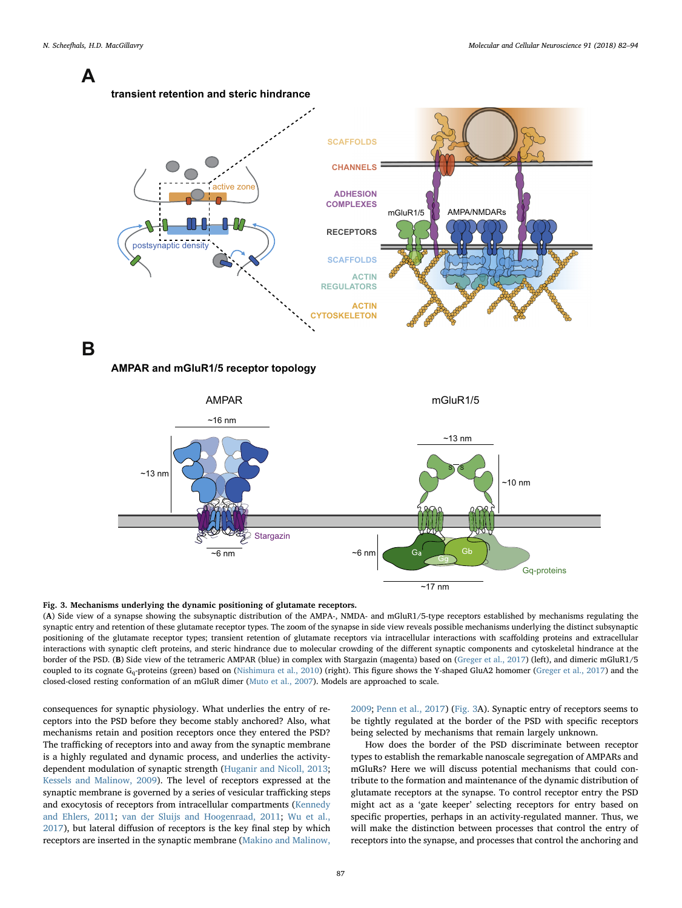<span id="page-5-0"></span>

# **B**

**AMPAR and mGluR1/5 receptor topology**



# Fig. 3. Mechanisms underlying the dynamic positioning of glutamate receptors.

(A) Side view of a synapse showing the subsynaptic distribution of the AMPA-, NMDA- and mGluR1/5-type receptors established by mechanisms regulating the synaptic entry and retention of these glutamate receptor types. The zoom of the synapse in side view reveals possible mechanisms underlying the distinct subsynaptic positioning of the glutamate receptor types; transient retention of glutamate receptors via intracellular interactions with scaffolding proteins and extracellular interactions with synaptic cleft proteins, and steric hindrance due to molecular crowding of the different synaptic components and cytoskeletal hindrance at the border of the PSD. (B) Side view of the tetrameric AMPAR (blue) in complex with Stargazin (magenta) based on ([Greger et al., 2017](#page-10-1)) (left), and dimeric mGluR1/5 coupled to its cognate G<sub>q</sub>-proteins (green) based on [\(Nishimura et al., 2010\)](#page-11-38) (right). This figure shows the Y-shaped GluA2 homomer ([Greger et al., 2017\)](#page-10-1) and the closed-closed resting conformation of an mGluR dimer ([Muto et al., 2007\)](#page-11-39). Models are approached to scale.

consequences for synaptic physiology. What underlies the entry of receptors into the PSD before they become stably anchored? Also, what mechanisms retain and position receptors once they entered the PSD? The trafficking of receptors into and away from the synaptic membrane is a highly regulated and dynamic process, and underlies the activitydependent modulation of synaptic strength ([Huganir and Nicoll, 2013](#page-10-16); [Kessels and Malinow, 2009](#page-10-26)). The level of receptors expressed at the synaptic membrane is governed by a series of vesicular trafficking steps and exocytosis of receptors from intracellular compartments ([Kennedy](#page-10-27) [and Ehlers, 2011](#page-10-27); [van der Sluijs and Hoogenraad, 2011](#page-12-25); [Wu et al.,](#page-12-26) [2017\)](#page-12-26), but lateral diffusion of receptors is the key final step by which receptors are inserted in the synaptic membrane ([Makino and Malinow,](#page-11-36)

[2009;](#page-11-36) [Penn et al., 2017\)](#page-11-37) [\(Fig. 3](#page-5-0)A). Synaptic entry of receptors seems to be tightly regulated at the border of the PSD with specific receptors being selected by mechanisms that remain largely unknown.

How does the border of the PSD discriminate between receptor types to establish the remarkable nanoscale segregation of AMPARs and mGluRs? Here we will discuss potential mechanisms that could contribute to the formation and maintenance of the dynamic distribution of glutamate receptors at the synapse. To control receptor entry the PSD might act as a 'gate keeper' selecting receptors for entry based on specific properties, perhaps in an activity-regulated manner. Thus, we will make the distinction between processes that control the entry of receptors into the synapse, and processes that control the anchoring and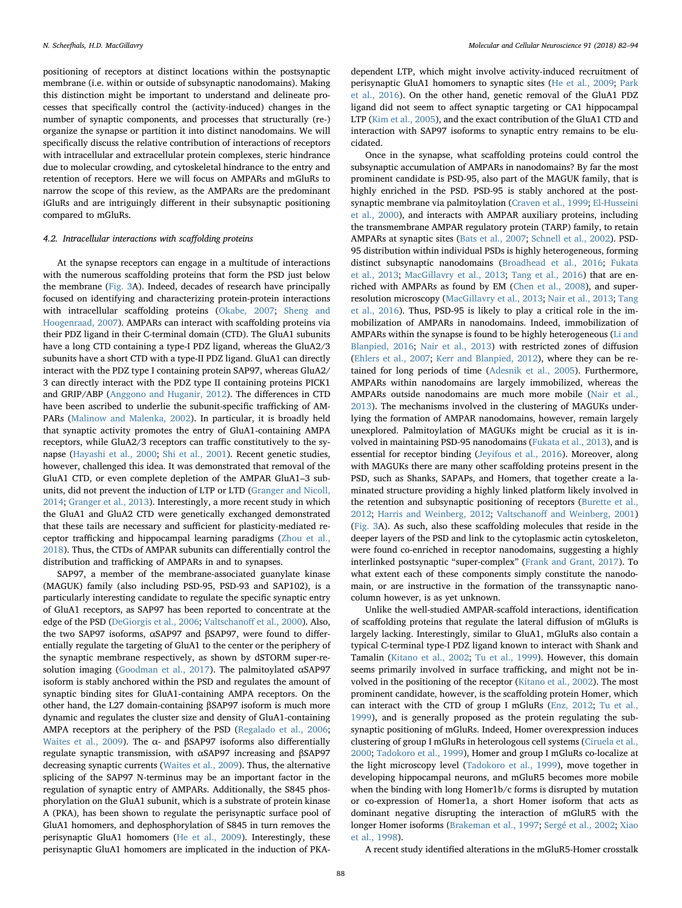positioning of receptors at distinct locations within the postsynaptic membrane (i.e. within or outside of subsynaptic nanodomains). Making this distinction might be important to understand and delineate processes that specifically control the (activity-induced) changes in the number of synaptic components, and processes that structurally (re-) organize the synapse or partition it into distinct nanodomains. We will specifically discuss the relative contribution of interactions of receptors with intracellular and extracellular protein complexes, steric hindrance due to molecular crowding, and cytoskeletal hindrance to the entry and retention of receptors. Here we will focus on AMPARs and mGluRs to narrow the scope of this review, as the AMPARs are the predominant iGluRs and are intriguingly different in their subsynaptic positioning compared to mGluRs.

### 4.2. Intracellular interactions with scaffolding proteins

At the synapse receptors can engage in a multitude of interactions with the numerous scaffolding proteins that form the PSD just below the membrane ([Fig. 3A](#page-5-0)). Indeed, decades of research have principally focused on identifying and characterizing protein-protein interactions with intracellular scaffolding proteins [\(Okabe, 2007;](#page-11-0) [Sheng and](#page-12-2) [Hoogenraad, 2007](#page-12-2)). AMPARs can interact with scaffolding proteins via their PDZ ligand in their C-terminal domain (CTD). The GluA1 subunits have a long CTD containing a type-I PDZ ligand, whereas the GluA2/3 subunits have a short CTD with a type-II PDZ ligand. GluA1 can directly interact with the PDZ type I containing protein SAP97, whereas GluA2/ 3 can directly interact with the PDZ type II containing proteins PICK1 and GRIP/ABP [\(Anggono and Huganir, 2012](#page-9-18)). The differences in CTD have been ascribed to underlie the subunit-specific trafficking of AM-PARs [\(Malinow and Malenka, 2002\)](#page-11-40). In particular, it is broadly held that synaptic activity promotes the entry of GluA1-containing AMPA receptors, while GluA2/3 receptors can traffic constitutively to the synapse ([Hayashi et al., 2000;](#page-10-28) [Shi et al., 2001](#page-12-20)). Recent genetic studies, however, challenged this idea. It was demonstrated that removal of the GluA1 CTD, or even complete depletion of the AMPAR GluA1–3 subunits, did not prevent the induction of LTP or LTD ([Granger and Nicoll,](#page-10-29) [2014;](#page-10-29) [Granger et al., 2013](#page-10-30)). Interestingly, a more recent study in which the GluA1 and GluA2 CTD were genetically exchanged demonstrated that these tails are necessary and sufficient for plasticity-mediated receptor trafficking and hippocampal learning paradigms ([Zhou et al.,](#page-12-27) [2018\)](#page-12-27). Thus, the CTDs of AMPAR subunits can differentially control the distribution and trafficking of AMPARs in and to synapses.

SAP97, a member of the membrane-associated guanylate kinase (MAGUK) family (also including PSD-95, PSD-93 and SAP102), is a particularly interesting candidate to regulate the specific synaptic entry of GluA1 receptors, as SAP97 has been reported to concentrate at the edge of the PSD ([DeGiorgis et al., 2006;](#page-10-31) [Valtschano](#page-12-28)ff et al., 2000). Also, the two SAP97 isoforms, αSAP97 and βSAP97, were found to differentially regulate the targeting of GluA1 to the center or the periphery of the synaptic membrane respectively, as shown by dSTORM super-resolution imaging [\(Goodman et al., 2017](#page-10-32)). The palmitoylated αSAP97 isoform is stably anchored within the PSD and regulates the amount of synaptic binding sites for GluA1-containing AMPA receptors. On the other hand, the L27 domain-containing βSAP97 isoform is much more dynamic and regulates the cluster size and density of GluA1-containing AMPA receptors at the periphery of the PSD ([Regalado et al., 2006](#page-11-41); [Waites et al., 2009](#page-12-29)). The α- and βSAP97 isoforms also differentially regulate synaptic transmission, with αSAP97 increasing and βSAP97 decreasing synaptic currents ([Waites et al., 2009](#page-12-29)). Thus, the alternative splicing of the SAP97 N-terminus may be an important factor in the regulation of synaptic entry of AMPARs. Additionally, the S845 phosphorylation on the GluA1 subunit, which is a substrate of protein kinase A (PKA), has been shown to regulate the perisynaptic surface pool of GluA1 homomers, and dephosphorylation of S845 in turn removes the perisynaptic GluA1 homomers [\(He et al., 2009](#page-10-33)). Interestingly, these perisynaptic GluA1 homomers are implicated in the induction of PKA-

dependent LTP, which might involve activity-induced recruitment of perisynaptic GluA1 homomers to synaptic sites ([He et al., 2009](#page-10-33); [Park](#page-11-42) [et al., 2016\)](#page-11-42). On the other hand, genetic removal of the GluA1 PDZ ligand did not seem to affect synaptic targeting or CA1 hippocampal LTP [\(Kim et al., 2005](#page-10-34)), and the exact contribution of the GluA1 CTD and interaction with SAP97 isoforms to synaptic entry remains to be elucidated.

Once in the synapse, what scaffolding proteins could control the subsynaptic accumulation of AMPARs in nanodomains? By far the most prominent candidate is PSD-95, also part of the MAGUK family, that is highly enriched in the PSD. PSD-95 is stably anchored at the postsynaptic membrane via palmitoylation [\(Craven et al., 1999;](#page-10-35) [El-Husseini](#page-10-36) [et al., 2000](#page-10-36)), and interacts with AMPAR auxiliary proteins, including the transmembrane AMPAR regulatory protein (TARP) family, to retain AMPARs at synaptic sites ([Bats et al., 2007;](#page-9-19) [Schnell et al., 2002](#page-12-30)). PSD-95 distribution within individual PSDs is highly heterogeneous, forming distinct subsynaptic nanodomains ([Broadhead et al., 2016;](#page-9-20) [Fukata](#page-10-37) [et al., 2013](#page-10-37); [MacGillavry et al., 2013;](#page-11-15) [Tang et al., 2016](#page-12-11)) that are enriched with AMPARs as found by EM [\(Chen et al., 2008](#page-9-6)), and superresolution microscopy [\(MacGillavry et al., 2013](#page-11-15); [Nair et al., 2013;](#page-11-16) [Tang](#page-12-11) et [al., 2016\)](#page-12-11). Thus, PSD-95 is likely to play a critical role in the immobilization of AMPARs in nanodomains. Indeed, immobilization of AMPARs within the synapse is found to be highly heterogeneous [\(Li and](#page-11-43) [Blanpied, 2016;](#page-11-43) [Nair et al., 2013](#page-11-16)) with restricted zones of diffusion ([Ehlers et al., 2007;](#page-10-38) [Kerr and Blanpied, 2012\)](#page-10-39), where they can be retained for long periods of time ([Adesnik et al., 2005](#page-9-21)). Furthermore, AMPARs within nanodomains are largely immobilized, whereas the AMPARs outside nanodomains are much more mobile [\(Nair et al.,](#page-11-16) [2013\)](#page-11-16). The mechanisms involved in the clustering of MAGUKs underlying the formation of AMPAR nanodomains, however, remain largely unexplored. Palmitoylation of MAGUKs might be crucial as it is involved in maintaining PSD-95 nanodomains [\(Fukata et al., 2013](#page-10-37)), and is essential for receptor binding ([Jeyifous et al., 2016](#page-10-40)). Moreover, along with MAGUKs there are many other scaffolding proteins present in the PSD, such as Shanks, SAPAPs, and Homers, that together create a laminated structure providing a highly linked platform likely involved in the retention and subsynaptic positioning of receptors [\(Burette et al.,](#page-9-22) [2012;](#page-9-22) [Harris and Weinberg, 2012](#page-10-41); Valtschanoff [and Weinberg, 2001\)](#page-12-31) ([Fig. 3](#page-5-0)A). As such, also these scaffolding molecules that reside in the deeper layers of the PSD and link to the cytoplasmic actin cytoskeleton, were found co-enriched in receptor nanodomains, suggesting a highly interlinked postsynaptic "super-complex" ([Frank and Grant, 2017\)](#page-10-42). To what extent each of these components simply constitute the nanodomain, or are instructive in the formation of the transsynaptic nanocolumn however, is as yet unknown.

Unlike the well-studied AMPAR-scaffold interactions, identification of scaffolding proteins that regulate the lateral diffusion of mGluRs is largely lacking. Interestingly, similar to GluA1, mGluRs also contain a typical C-terminal type-I PDZ ligand known to interact with Shank and Tamalin ([Kitano et al., 2002;](#page-11-44) [Tu et al., 1999\)](#page-12-32). However, this domain seems primarily involved in surface trafficking, and might not be involved in the positioning of the receptor ([Kitano et al., 2002\)](#page-11-44). The most prominent candidate, however, is the scaffolding protein Homer, which can interact with the CTD of group I mGluRs [\(Enz, 2012;](#page-10-43) [Tu et al.,](#page-12-32) [1999\)](#page-12-32), and is generally proposed as the protein regulating the subsynaptic positioning of mGluRs. Indeed, Homer overexpression induces clustering of group I mGluRs in heterologous cell systems ([Ciruela et al.,](#page-9-23) [2000;](#page-9-23) Tadokoro [et al., 1999\)](#page-12-33), Homer and group I mGluRs co-localize at the light microscopy level ([Tadokoro et al., 1999\)](#page-12-33), move together in developing hippocampal neurons, and mGluR5 becomes more mobile when the binding with long Homer1b/c forms is disrupted by mutation or co-expression of Homer1a, a short Homer isoform that acts as dominant negative disrupting the interaction of mGluR5 with the longer Homer isoforms ([Brakeman et al., 1997;](#page-9-24) [Sergé et al., 2002](#page-12-16); [Xiao](#page-12-34) [et al., 1998](#page-12-34)).

A recent study identified alterations in the mGluR5-Homer crosstalk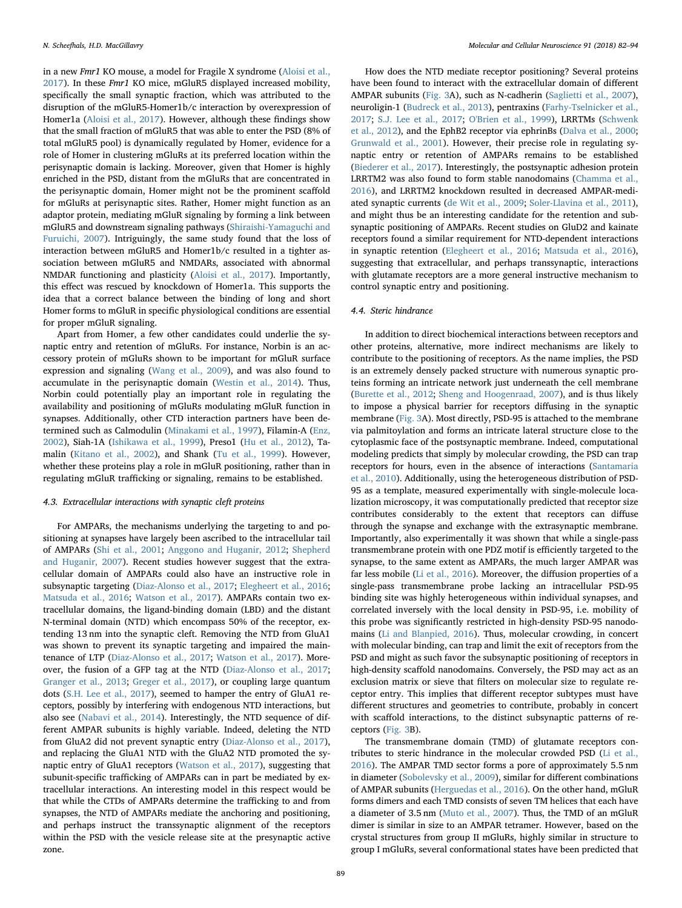in a new Fmr1 KO mouse, a model for Fragile X syndrome ([Aloisi et al.,](#page-9-8) [2017\)](#page-9-8). In these Fmr1 KO mice, mGluR5 displayed increased mobility, specifically the small synaptic fraction, which was attributed to the disruption of the mGluR5-Homer1b/c interaction by overexpression of Homer1a ([Aloisi et al., 2017\)](#page-9-8). However, although these findings show that the small fraction of mGluR5 that was able to enter the PSD (8% of total mGluR5 pool) is dynamically regulated by Homer, evidence for a role of Homer in clustering mGluRs at its preferred location within the perisynaptic domain is lacking. Moreover, given that Homer is highly enriched in the PSD, distant from the mGluRs that are concentrated in the perisynaptic domain, Homer might not be the prominent scaffold for mGluRs at perisynaptic sites. Rather, Homer might function as an adaptor protein, mediating mGluR signaling by forming a link between mGluR5 and downstream signaling pathways ([Shiraishi-Yamaguchi and](#page-12-35) [Furuichi, 2007](#page-12-35)). Intriguingly, the same study found that the loss of interaction between mGluR5 and Homer1b/c resulted in a tighter association between mGluR5 and NMDARs, associated with abnormal NMDAR functioning and plasticity ([Aloisi et al., 2017\)](#page-9-8). Importantly, this effect was rescued by knockdown of Homer1a. This supports the idea that a correct balance between the binding of long and short Homer forms to mGluR in specific physiological conditions are essential for proper mGluR signaling.

Apart from Homer, a few other candidates could underlie the synaptic entry and retention of mGluRs. For instance, Norbin is an accessory protein of mGluRs shown to be important for mGluR surface expression and signaling ([Wang et al., 2009\)](#page-12-15), and was also found to accumulate in the perisynaptic domain ([Westin et al., 2014](#page-12-14)). Thus, Norbin could potentially play an important role in regulating the availability and positioning of mGluRs modulating mGluR function in synapses. Additionally, other CTD interaction partners have been determined such as Calmodulin ([Minakami et al., 1997](#page-11-45)), Filamin-A ([Enz,](#page-10-44) [2002\)](#page-10-44), Siah-1A ([Ishikawa et al., 1999\)](#page-10-45), Preso1 [\(Hu et al., 2012\)](#page-10-46), Tamalin ([Kitano et al., 2002\)](#page-11-44), and Shank [\(Tu et al., 1999\)](#page-12-32). However, whether these proteins play a role in mGluR positioning, rather than in regulating mGluR trafficking or signaling, remains to be established.

#### 4.3. Extracellular interactions with synaptic cleft proteins

For AMPARs, the mechanisms underlying the targeting to and positioning at synapses have largely been ascribed to the intracellular tail of AMPARs ([Shi et al., 2001](#page-12-20); [Anggono and Huganir, 2012;](#page-9-18) [Shepherd](#page-12-36) [and Huganir, 2007](#page-12-36)). Recent studies however suggest that the extracellular domain of AMPARs could also have an instructive role in subsynaptic targeting [\(Diaz-Alonso et al., 2017;](#page-10-47) [Elegheert et al., 2016](#page-10-48); [Matsuda et al., 2016;](#page-11-46) [Watson et al., 2017\)](#page-12-37). AMPARs contain two extracellular domains, the ligand-binding domain (LBD) and the distant N-terminal domain (NTD) which encompass 50% of the receptor, extending 13 nm into the synaptic cleft. Removing the NTD from GluA1 was shown to prevent its synaptic targeting and impaired the maintenance of LTP [\(Diaz-Alonso et al., 2017;](#page-10-47) Watson [et al., 2017\)](#page-12-37). Moreover, the fusion of a GFP tag at the NTD ([Diaz-Alonso et al., 2017](#page-10-47); [Granger et al., 2013;](#page-10-30) [Greger et al., 2017](#page-10-1)), or coupling large quantum dots [\(S.H. Lee et al., 2017\)](#page-11-47), seemed to hamper the entry of GluA1 receptors, possibly by interfering with endogenous NTD interactions, but also see [\(Nabavi et al., 2014\)](#page-11-48). Interestingly, the NTD sequence of different AMPAR subunits is highly variable. Indeed, deleting the NTD from GluA2 did not prevent synaptic entry [\(Diaz-Alonso et al., 2017](#page-10-47)), and replacing the GluA1 NTD with the GluA2 NTD promoted the synaptic entry of GluA1 receptors ([Watson et al., 2017\)](#page-12-37), suggesting that subunit-specific trafficking of AMPARs can in part be mediated by extracellular interactions. An interesting model in this respect would be that while the CTDs of AMPARs determine the trafficking to and from synapses, the NTD of AMPARs mediate the anchoring and positioning, and perhaps instruct the transsynaptic alignment of the receptors within the PSD with the vesicle release site at the presynaptic active zone.

How does the NTD mediate receptor positioning? Several proteins have been found to interact with the extracellular domain of different AMPAR subunits [\(Fig. 3A](#page-5-0)), such as N-cadherin ([Saglietti et al., 2007](#page-12-38)), neuroligin-1 [\(Budreck et al., 2013\)](#page-9-25), pentraxins ([Farhy-Tselnicker et al.,](#page-10-49) [2017;](#page-10-49) [S.J. Lee et al., 2017](#page-11-49); [O'Brien et al., 1999\)](#page-11-50), LRRTMs [\(Schwenk](#page-12-39) [et al., 2012](#page-12-39)), and the EphB2 receptor via ephrinBs ([Dalva et al., 2000](#page-10-50); [Grunwald et al., 2001\)](#page-10-51). However, their precise role in regulating synaptic entry or retention of AMPARs remains to be established ([Biederer et al., 2017\)](#page-9-7). Interestingly, the postsynaptic adhesion protein LRRTM2 was also found to form stable nanodomains [\(Chamma et al.,](#page-9-26) [2016\)](#page-9-26), and LRRTM2 knockdown resulted in decreased AMPAR-mediated synaptic currents ([de Wit et al., 2009;](#page-10-52) [Soler-Llavina et al., 2011](#page-12-40)), and might thus be an interesting candidate for the retention and subsynaptic positioning of AMPARs. Recent studies on GluD2 and kainate receptors found a similar requirement for NTD-dependent interactions in synaptic retention [\(Elegheert et al., 2016;](#page-10-48) [Matsuda et al., 2016](#page-11-46)), suggesting that extracellular, and perhaps transsynaptic, interactions with glutamate receptors are a more general instructive mechanism to control synaptic entry and positioning.

#### 4.4. Steric hindrance

In addition to direct biochemical interactions between receptors and other proteins, alternative, more indirect mechanisms are likely to contribute to the positioning of receptors. As the name implies, the PSD is an extremely densely packed structure with numerous synaptic proteins forming an intricate network just underneath the cell membrane ([Burette et al., 2012;](#page-9-22) [Sheng and Hoogenraad, 2007\)](#page-12-2), and is thus likely to impose a physical barrier for receptors diffusing in the synaptic membrane ([Fig. 3](#page-5-0)A). Most directly, PSD-95 is attached to the membrane via palmitoylation and forms an intricate lateral structure close to the cytoplasmic face of the postsynaptic membrane. Indeed, computational modeling predicts that simply by molecular crowding, the PSD can trap receptors for hours, even in the absence of interactions ([Santamaria](#page-12-41) [et al., 2010](#page-12-41)). Additionally, using the heterogeneous distribution of PSD-95 as a template, measured experimentally with single-molecule localization microscopy, it was computationally predicted that receptor size contributes considerably to the extent that receptors can diffuse through the synapse and exchange with the extrasynaptic membrane. Importantly, also experimentally it was shown that while a single-pass transmembrane protein with one PDZ motif is efficiently targeted to the synapse, to the same extent as AMPARs, the much larger AMPAR was far less mobile ([Li et al., 2016\)](#page-11-51). Moreover, the diffusion properties of a single-pass transmembrane probe lacking an intracellular PSD-95 binding site was highly heterogeneous within individual synapses, and correlated inversely with the local density in PSD-95, i.e. mobility of this probe was significantly restricted in high-density PSD-95 nanodomains ([Li and Blanpied, 2016](#page-11-43)). Thus, molecular crowding, in concert with molecular binding, can trap and limit the exit of receptors from the PSD and might as such favor the subsynaptic positioning of receptors in high-density scaffold nanodomains. Conversely, the PSD may act as an exclusion matrix or sieve that filters on molecular size to regulate receptor entry. This implies that different receptor subtypes must have different structures and geometries to contribute, probably in concert with scaffold interactions, to the distinct subsynaptic patterns of receptors ([Fig. 3B](#page-5-0)).

The transmembrane domain (TMD) of glutamate receptors contributes to steric hindrance in the molecular crowded PSD ([Li et al.,](#page-11-51) [2016\)](#page-11-51). The AMPAR TMD sector forms a pore of approximately 5.5 nm in diameter ([Sobolevsky et al., 2009\)](#page-12-42), similar for different combinations of AMPAR subunits [\(Herguedas et al., 2016](#page-10-53)). On the other hand, mGluR forms dimers and each TMD consists of seven TM helices that each have a diameter of 3.5 nm ([Muto et al., 2007\)](#page-11-39). Thus, the TMD of an mGluR dimer is similar in size to an AMPAR tetramer. However, based on the crystal structures from group II mGluRs, highly similar in structure to group I mGluRs, several conformational states have been predicted that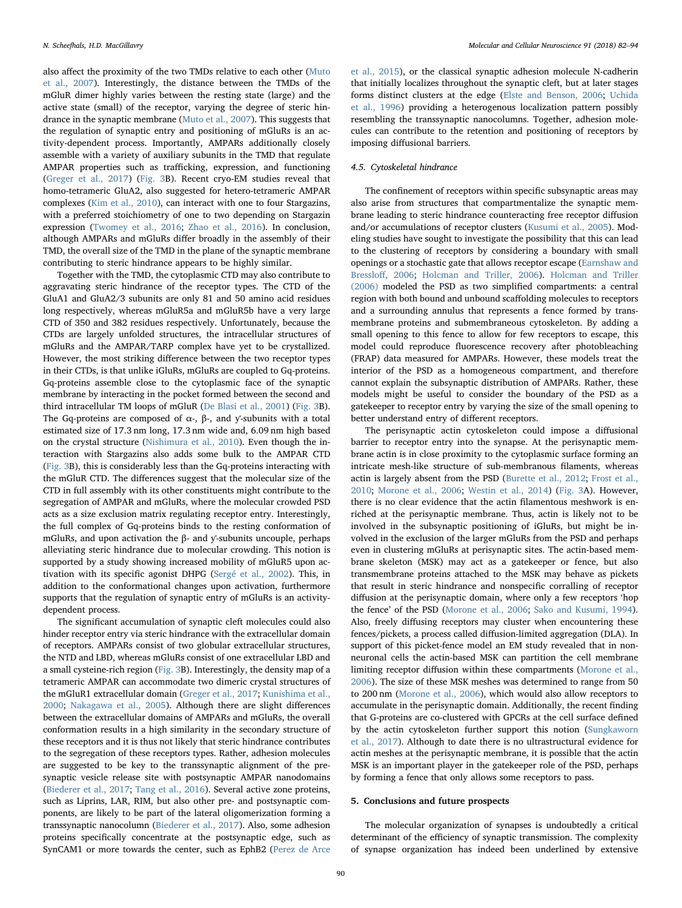also affect the proximity of the two TMDs relative to each other [\(Muto](#page-11-39) [et al., 2007\)](#page-11-39). Interestingly, the distance between the TMDs of the mGluR dimer highly varies between the resting state (large) and the active state (small) of the receptor, varying the degree of steric hindrance in the synaptic membrane [\(Muto et al., 2007](#page-11-39)). This suggests that the regulation of synaptic entry and positioning of mGluRs is an activity-dependent process. Importantly, AMPARs additionally closely assemble with a variety of auxiliary subunits in the TMD that regulate AMPAR properties such as trafficking, expression, and functioning ([Greger et al., 2017](#page-10-1)) [\(Fig. 3](#page-5-0)B). Recent cryo-EM studies reveal that homo-tetrameric GluA2, also suggested for hetero-tetrameric AMPAR complexes ([Kim et al., 2010](#page-10-54)), can interact with one to four Stargazins, with a preferred stoichiometry of one to two depending on Stargazin expression [\(Twomey et al., 2016;](#page-12-43) [Zhao et al., 2016\)](#page-12-44). In conclusion, although AMPARs and mGluRs differ broadly in the assembly of their TMD, the overall size of the TMD in the plane of the synaptic membrane contributing to steric hindrance appears to be highly similar.

Together with the TMD, the cytoplasmic CTD may also contribute to aggravating steric hindrance of the receptor types. The CTD of the GluA1 and GluA2/3 subunits are only 81 and 50 amino acid residues long respectively, whereas mGluR5a and mGluR5b have a very large CTD of 350 and 382 residues respectively. Unfortunately, because the CTDs are largely unfolded structures, the intracellular structures of mGluRs and the AMPAR/TARP complex have yet to be crystallized. However, the most striking difference between the two receptor types in their CTDs, is that unlike iGluRs, mGluRs are coupled to Gq-proteins. Gq-proteins assemble close to the cytoplasmic face of the synaptic membrane by interacting in the pocket formed between the second and third intracellular TM loops of mGluR [\(De Blasi et al., 2001\)](#page-10-55) [\(Fig. 3B](#page-5-0)). The Gq-proteins are composed of  $\alpha$ -,  $\beta$ -, and y-subunits with a total estimated size of 17.3 nm long, 17.3 nm wide and, 6.09 nm high based on the crystal structure [\(Nishimura et al., 2010\)](#page-11-38). Even though the interaction with Stargazins also adds some bulk to the AMPAR CTD ([Fig. 3](#page-5-0)B), this is considerably less than the Gq-proteins interacting with the mGluR CTD. The differences suggest that the molecular size of the CTD in full assembly with its other constituents might contribute to the segregation of AMPAR and mGluRs, where the molecular crowded PSD acts as a size exclusion matrix regulating receptor entry. Interestingly, the full complex of Gq-proteins binds to the resting conformation of mGluRs, and upon activation the β- and ƴ-subunits uncouple, perhaps alleviating steric hindrance due to molecular crowding. This notion is supported by a study showing increased mobility of mGluR5 upon activation with its specific agonist DHPG ([Sergé et al., 2002](#page-12-16)). This, in addition to the conformational changes upon activation, furthermore supports that the regulation of synaptic entry of mGluRs is an activitydependent process.

The significant accumulation of synaptic cleft molecules could also hinder receptor entry via steric hindrance with the extracellular domain of receptors. AMPARs consist of two globular extracellular structures, the NTD and LBD, whereas mGluRs consist of one extracellular LBD and a small cysteine-rich region [\(Fig. 3B](#page-5-0)). Interestingly, the density map of a tetrameric AMPAR can accommodate two dimeric crystal structures of the mGluR1 extracellular domain (Greger [et al., 2017](#page-10-1); [Kunishima et al.,](#page-11-52) [2000;](#page-11-52) [Nakagawa et al., 2005\)](#page-11-53). Although there are slight differences between the extracellular domains of AMPARs and mGluRs, the overall conformation results in a high similarity in the secondary structure of these receptors and it is thus not likely that steric hindrance contributes to the segregation of these receptors types. Rather, adhesion molecules are suggested to be key to the transsynaptic alignment of the presynaptic vesicle release site with postsynaptic AMPAR nanodomains ([Biederer et al., 2017](#page-9-7); [Tang et al., 2016](#page-12-11)). Several active zone proteins, such as Liprins, LAR, RIM, but also other pre- and postsynaptic components, are likely to be part of the lateral oligomerization forming a transsynaptic nanocolumn [\(Biederer et al., 2017\)](#page-9-7). Also, some adhesion proteins specifically concentrate at the postsynaptic edge, such as SynCAM1 or more towards the center, such as EphB2 ([Perez de Arce](#page-11-54)

[et al., 2015\)](#page-11-54), or the classical synaptic adhesion molecule N-cadherin that initially localizes throughout the synaptic cleft, but at later stages forms distinct clusters at the edge ([Elste and Benson, 2006;](#page-10-56) [Uchida](#page-12-45) [et al., 1996](#page-12-45)) providing a heterogenous localization pattern possibly resembling the transsynaptic nanocolumns. Together, adhesion molecules can contribute to the retention and positioning of receptors by imposing diffusional barriers.

# 4.5. Cytoskeletal hindrance

The confinement of receptors within specific subsynaptic areas may also arise from structures that compartmentalize the synaptic membrane leading to steric hindrance counteracting free receptor diffusion and/or accumulations of receptor clusters [\(Kusumi et al., 2005](#page-11-55)). Modeling studies have sought to investigate the possibility that this can lead to the clustering of receptors by considering a boundary with small openings or a stochastic gate that allows receptor escape [\(Earnshaw and](#page-10-57) Bressloff[, 2006;](#page-10-57) [Holcman and Triller, 2006\)](#page-10-58). [Holcman and Triller](#page-10-58) [\(2006\)](#page-10-58) modeled the PSD as two simplified compartments: a central region with both bound and unbound scaffolding molecules to receptors and a surrounding annulus that represents a fence formed by transmembrane proteins and submembraneous cytoskeleton. By adding a small opening to this fence to allow for few receptors to escape, this model could reproduce fluorescence recovery after photobleaching (FRAP) data measured for AMPARs. However, these models treat the interior of the PSD as a homogeneous compartment, and therefore cannot explain the subsynaptic distribution of AMPARs. Rather, these models might be useful to consider the boundary of the PSD as a gatekeeper to receptor entry by varying the size of the small opening to better understand entry of different receptors.

The perisynaptic actin cytoskeleton could impose a diffusional barrier to receptor entry into the synapse. At the perisynaptic membrane actin is in close proximity to the cytoplasmic surface forming an intricate mesh-like structure of sub-membranous filaments, whereas actin is largely absent from the PSD ([Burette et al., 2012;](#page-9-22) [Frost et al.,](#page-10-59) [2010;](#page-10-59) Morone [et al., 2006](#page-11-56); [Westin et al., 2014](#page-12-14)) ([Fig. 3A](#page-5-0)). However, there is no clear evidence that the actin filamentous meshwork is enriched at the perisynaptic membrane. Thus, actin is likely not to be involved in the subsynaptic positioning of iGluRs, but might be involved in the exclusion of the larger mGluRs from the PSD and perhaps even in clustering mGluRs at perisynaptic sites. The actin-based membrane skeleton (MSK) may act as a gatekeeper or fence, but also transmembrane proteins attached to the MSK may behave as pickets that result in steric hindrance and nonspecific corralling of receptor diffusion at the perisynaptic domain, where only a few receptors 'hop the fence' of the PSD [\(Morone et al., 2006](#page-11-56); [Sako and Kusumi, 1994](#page-12-46)). Also, freely diffusing receptors may cluster when encountering these fences/pickets, a process called diffusion-limited aggregation (DLA). In support of this picket-fence model an EM study revealed that in nonneuronal cells the actin-based MSK can partition the cell membrane limiting receptor diffusion within these compartments ([Morone et al.,](#page-11-56) [2006\)](#page-11-56). The size of these MSK meshes was determined to range from 50 to 200 nm ([Morone et al., 2006\)](#page-11-56), which would also allow receptors to accumulate in the perisynaptic domain. Additionally, the recent finding that G-proteins are co-clustered with GPCRs at the cell surface defined by the actin cytoskeleton further support this notion ([Sungkaworn](#page-12-17) [et al., 2017\)](#page-12-17). Although to date there is no ultrastructural evidence for actin meshes at the perisynaptic membrane, it is possible that the actin MSK is an important player in the gatekeeper role of the PSD, perhaps by forming a fence that only allows some receptors to pass.

#### 5. Conclusions and future prospects

The molecular organization of synapses is undoubtedly a critical determinant of the efficiency of synaptic transmission. The complexity of synapse organization has indeed been underlined by extensive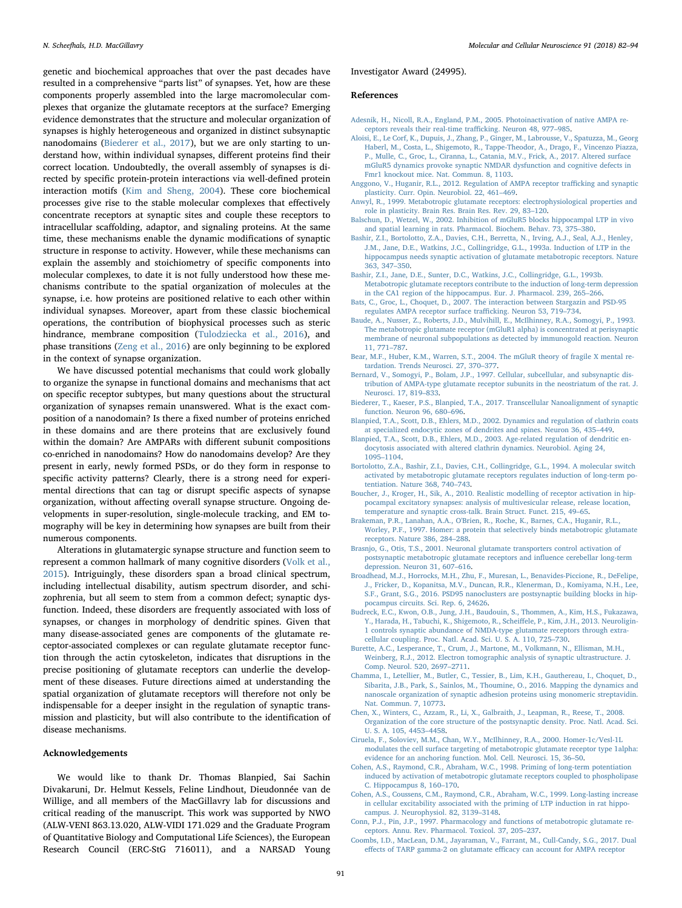genetic and biochemical approaches that over the past decades have resulted in a comprehensive "parts list" of synapses. Yet, how are these components properly assembled into the large macromolecular complexes that organize the glutamate receptors at the surface? Emerging evidence demonstrates that the structure and molecular organization of synapses is highly heterogeneous and organized in distinct subsynaptic nanodomains [\(Biederer et al., 2017](#page-9-7)), but we are only starting to understand how, within individual synapses, different proteins find their correct location. Undoubtedly, the overall assembly of synapses is directed by specific protein-protein interactions via well-defined protein interaction motifs ([Kim and Sheng, 2004](#page-10-60)). These core biochemical processes give rise to the stable molecular complexes that effectively concentrate receptors at synaptic sites and couple these receptors to intracellular scaffolding, adaptor, and signaling proteins. At the same time, these mechanisms enable the dynamic modifications of synaptic structure in response to activity. However, while these mechanisms can explain the assembly and stoichiometry of specific components into molecular complexes, to date it is not fully understood how these mechanisms contribute to the spatial organization of molecules at the synapse, i.e. how proteins are positioned relative to each other within individual synapses. Moreover, apart from these classic biochemical operations, the contribution of biophysical processes such as steric hindrance, membrane composition [\(Tulodziecka et al., 2016\)](#page-12-47), and phase transitions ([Zeng et al., 2016](#page-12-48)) are only beginning to be explored in the context of synapse organization.

We have discussed potential mechanisms that could work globally to organize the synapse in functional domains and mechanisms that act on specific receptor subtypes, but many questions about the structural organization of synapses remain unanswered. What is the exact composition of a nanodomain? Is there a fixed number of proteins enriched in these domains and are there proteins that are exclusively found within the domain? Are AMPARs with different subunit compositions co-enriched in nanodomains? How do nanodomains develop? Are they present in early, newly formed PSDs, or do they form in response to specific activity patterns? Clearly, there is a strong need for experimental directions that can tag or disrupt specific aspects of synapse organization, without affecting overall synapse structure. Ongoing developments in super-resolution, single-molecule tracking, and EM tomography will be key in determining how synapses are built from their numerous components.

Alterations in glutamatergic synapse structure and function seem to represent a common hallmark of many cognitive disorders [\(Volk et al.,](#page-12-0) [2015\)](#page-12-0). Intriguingly, these disorders span a broad clinical spectrum, including intellectual disability, autism spectrum disorder, and schizophrenia, but all seem to stem from a common defect; synaptic dysfunction. Indeed, these disorders are frequently associated with loss of synapses, or changes in morphology of dendritic spines. Given that many disease-associated genes are components of the glutamate receptor-associated complexes or can regulate glutamate receptor function through the actin cytoskeleton, indicates that disruptions in the precise positioning of glutamate receptors can underlie the development of these diseases. Future directions aimed at understanding the spatial organization of glutamate receptors will therefore not only be indispensable for a deeper insight in the regulation of synaptic transmission and plasticity, but will also contribute to the identification of disease mechanisms.

# Acknowledgements

We would like to thank Dr. Thomas Blanpied, Sai Sachin Divakaruni, Dr. Helmut Kessels, Feline Lindhout, Dieudonnée van de Willige, and all members of the MacGillavry lab for discussions and critical reading of the manuscript. This work was supported by NWO (ALW-VENI 863.13.020, ALW-VIDI 171.029 and the Graduate Program of Quantitative Biology and Computational Life Sciences), the European Research Council (ERC-StG 716011), and a NARSAD Young Investigator Award (24995).

#### References

- <span id="page-9-21"></span>[Adesnik, H., Nicoll, R.A., England, P.M., 2005. Photoinactivation of native AMPA re](http://refhub.elsevier.com/S1044-7431(17)30405-0/rf0005)[ceptors reveals their real-time tra](http://refhub.elsevier.com/S1044-7431(17)30405-0/rf0005)fficking. Neuron 48, 977–985.
- <span id="page-9-8"></span>[Aloisi, E., Le Corf, K., Dupuis, J., Zhang, P., Ginger, M., Labrousse, V., Spatuzza, M., Georg](http://refhub.elsevier.com/S1044-7431(17)30405-0/rf0010) [Haberl, M., Costa, L., Shigemoto, R., Tappe-Theodor, A., Drago, F., Vincenzo Piazza,](http://refhub.elsevier.com/S1044-7431(17)30405-0/rf0010) [P., Mulle, C., Groc, L., Ciranna, L., Catania, M.V., Frick, A., 2017. Altered surface](http://refhub.elsevier.com/S1044-7431(17)30405-0/rf0010) [mGluR5 dynamics provoke synaptic NMDAR dysfunction and cognitive defects in](http://refhub.elsevier.com/S1044-7431(17)30405-0/rf0010) [Fmr1 knockout mice. Nat. Commun. 8, 1103](http://refhub.elsevier.com/S1044-7431(17)30405-0/rf0010).
- <span id="page-9-18"></span>[Anggono, V., Huganir, R.L., 2012. Regulation of AMPA receptor tra](http://refhub.elsevier.com/S1044-7431(17)30405-0/rf0015)fficking and synaptic [plasticity. Curr. Opin. Neurobiol. 22, 461](http://refhub.elsevier.com/S1044-7431(17)30405-0/rf0015)–469.
- <span id="page-9-11"></span>[Anwyl, R., 1999. Metabotropic glutamate receptors: electrophysiological properties and](http://refhub.elsevier.com/S1044-7431(17)30405-0/rf0020) [role in plasticity. Brain Res. Brain Res. Rev. 29, 83](http://refhub.elsevier.com/S1044-7431(17)30405-0/rf0020)–120.
- <span id="page-9-12"></span>[Balschun, D., Wetzel, W., 2002. Inhibition of mGluR5 blocks hippocampal LTP in vivo](http://refhub.elsevier.com/S1044-7431(17)30405-0/rf0025) [and spatial learning in rats. Pharmacol. Biochem. Behav. 73, 375](http://refhub.elsevier.com/S1044-7431(17)30405-0/rf0025)–380.
- <span id="page-9-13"></span>[Bashir, Z.I., Bortolotto, Z.A., Davies, C.H., Berretta, N., Irving, A.J., Seal, A.J., Henley,](http://refhub.elsevier.com/S1044-7431(17)30405-0/rf0030) [J.M., Jane, D.E., Watkins, J.C., Collingridge, G.L., 1993a. Induction of LTP in the](http://refhub.elsevier.com/S1044-7431(17)30405-0/rf0030) [hippocampus needs synaptic activation of glutamate metabotropic receptors. Nature](http://refhub.elsevier.com/S1044-7431(17)30405-0/rf0030) [363, 347](http://refhub.elsevier.com/S1044-7431(17)30405-0/rf0030)–350.
- <span id="page-9-17"></span>[Bashir, Z.I., Jane, D.E., Sunter, D.C., Watkins, J.C., Collingridge, G.L., 1993b.](http://refhub.elsevier.com/S1044-7431(17)30405-0/rf0035) [Metabotropic glutamate receptors contribute to the induction of long-term depression](http://refhub.elsevier.com/S1044-7431(17)30405-0/rf0035) [in the CA1 region of the hippocampus. Eur. J. Pharmacol. 239, 265](http://refhub.elsevier.com/S1044-7431(17)30405-0/rf0035)–266.
- <span id="page-9-19"></span>[Bats, C., Groc, L., Choquet, D., 2007. The interaction between Stargazin and PSD-95](http://refhub.elsevier.com/S1044-7431(17)30405-0/rf0040) [regulates AMPA receptor surface tra](http://refhub.elsevier.com/S1044-7431(17)30405-0/rf0040)fficking. Neuron 53, 719–734.
- <span id="page-9-0"></span>[Baude, A., Nusser, Z., Roberts, J.D., Mulvihill, E., McIlhinney, R.A., Somogyi, P., 1993.](http://refhub.elsevier.com/S1044-7431(17)30405-0/rf0045) [The metabotropic glutamate receptor \(mGluR1 alpha\) is concentrated at perisynaptic](http://refhub.elsevier.com/S1044-7431(17)30405-0/rf0045) [membrane of neuronal subpopulations as detected by immunogold reaction. Neuron](http://refhub.elsevier.com/S1044-7431(17)30405-0/rf0045) [11, 771](http://refhub.elsevier.com/S1044-7431(17)30405-0/rf0045)–787.
- <span id="page-9-10"></span>[Bear, M.F., Huber, K.M., Warren, S.T., 2004. The mGluR theory of fragile X mental re](http://refhub.elsevier.com/S1044-7431(17)30405-0/rf0050)[tardation. Trends Neurosci. 27, 370](http://refhub.elsevier.com/S1044-7431(17)30405-0/rf0050)–377.
- <span id="page-9-5"></span>[Bernard, V., Somogyi, P., Bolam, J.P., 1997. Cellular, subcellular, and subsynaptic dis](http://refhub.elsevier.com/S1044-7431(17)30405-0/rf0055)[tribution of AMPA-type glutamate receptor subunits in the neostriatum of the rat. J.](http://refhub.elsevier.com/S1044-7431(17)30405-0/rf0055) [Neurosci. 17, 819](http://refhub.elsevier.com/S1044-7431(17)30405-0/rf0055)–833.
- <span id="page-9-7"></span>[Biederer, T., Kaeser, P.S., Blanpied, T.A., 2017. Transcellular Nanoalignment of synaptic](http://refhub.elsevier.com/S1044-7431(17)30405-0/rf0060) [function. Neuron 96, 680](http://refhub.elsevier.com/S1044-7431(17)30405-0/rf0060)–696.
- <span id="page-9-9"></span>[Blanpied, T.A., Scott, D.B., Ehlers, M.D., 2002. Dynamics and regulation of clathrin coats](http://refhub.elsevier.com/S1044-7431(17)30405-0/rf0065) [at specialized endocytic zones of dendrites and spines. Neuron 36, 435](http://refhub.elsevier.com/S1044-7431(17)30405-0/rf0065)–449.
- [Blanpied, T.A., Scott, D.B., Ehlers, M.D., 2003. Age-related regulation of dendritic en](http://refhub.elsevier.com/S1044-7431(17)30405-0/rf0070)[docytosis associated with altered clathrin dynamics. Neurobiol. Aging 24,](http://refhub.elsevier.com/S1044-7431(17)30405-0/rf0070) 1095–[1104](http://refhub.elsevier.com/S1044-7431(17)30405-0/rf0070).
- <span id="page-9-14"></span>[Bortolotto, Z.A., Bashir, Z.I., Davies, C.H., Collingridge, G.L., 1994. A molecular switch](http://refhub.elsevier.com/S1044-7431(17)30405-0/rf0075) [activated by metabotropic glutamate receptors regulates induction of long-term po](http://refhub.elsevier.com/S1044-7431(17)30405-0/rf0075)[tentiation. Nature 368, 740](http://refhub.elsevier.com/S1044-7431(17)30405-0/rf0075)–743.
- <span id="page-9-1"></span>[Boucher, J., Kroger, H., Sik, A., 2010. Realistic modelling of receptor activation in hip](http://refhub.elsevier.com/S1044-7431(17)30405-0/rf0080)[pocampal excitatory synapses: analysis of multivesicular release, release location,](http://refhub.elsevier.com/S1044-7431(17)30405-0/rf0080) [temperature and synaptic cross-talk. Brain Struct. Funct. 215, 49](http://refhub.elsevier.com/S1044-7431(17)30405-0/rf0080)–65.
- <span id="page-9-24"></span>[Brakeman, P.R., Lanahan, A.A., O'Brien, R., Roche, K., Barnes, C.A., Huganir, R.L.,](http://refhub.elsevier.com/S1044-7431(17)30405-0/rf0085) [Worley, P.F., 1997. Homer: a protein that selectively binds metabotropic glutamate](http://refhub.elsevier.com/S1044-7431(17)30405-0/rf0085) [receptors. Nature 386, 284](http://refhub.elsevier.com/S1044-7431(17)30405-0/rf0085)–288.
- <span id="page-9-4"></span>[Brasnjo, G., Otis, T.S., 2001. Neuronal glutamate transporters control activation of](http://refhub.elsevier.com/S1044-7431(17)30405-0/rf0090) [postsynaptic metabotropic glutamate receptors and in](http://refhub.elsevier.com/S1044-7431(17)30405-0/rf0090)fluence cerebellar long-term [depression. Neuron 31, 607](http://refhub.elsevier.com/S1044-7431(17)30405-0/rf0090)–616.
- <span id="page-9-20"></span>[Broadhead, M.J., Horrocks, M.H., Zhu, F., Muresan, L., Benavides-Piccione, R., DeFelipe,](http://refhub.elsevier.com/S1044-7431(17)30405-0/rf0095) [J., Fricker, D., Kopanitsa, M.V., Duncan, R.R., Klenerman, D., Komiyama, N.H., Lee,](http://refhub.elsevier.com/S1044-7431(17)30405-0/rf0095) [S.F., Grant, S.G., 2016. PSD95 nanoclusters are postsynaptic building blocks in hip](http://refhub.elsevier.com/S1044-7431(17)30405-0/rf0095)[pocampus circuits. Sci. Rep. 6, 24626.](http://refhub.elsevier.com/S1044-7431(17)30405-0/rf0095)
- <span id="page-9-25"></span>[Budreck, E.C., Kwon, O.B., Jung, J.H., Baudouin, S., Thommen, A., Kim, H.S., Fukazawa,](http://refhub.elsevier.com/S1044-7431(17)30405-0/rf0100) [Y., Harada, H., Tabuchi, K., Shigemoto, R., Schei](http://refhub.elsevier.com/S1044-7431(17)30405-0/rf0100)ffele, P., Kim, J.H., 2013. Neuroligin-[1 controls synaptic abundance of NMDA-type glutamate receptors through extra](http://refhub.elsevier.com/S1044-7431(17)30405-0/rf0100)[cellular coupling. Proc. Natl. Acad. Sci. U. S. A. 110, 725](http://refhub.elsevier.com/S1044-7431(17)30405-0/rf0100)–730.
- <span id="page-9-22"></span>[Burette, A.C., Lesperance, T., Crum, J., Martone, M., Volkmann, N., Ellisman, M.H.,](http://refhub.elsevier.com/S1044-7431(17)30405-0/rf0105) [Weinberg, R.J., 2012. Electron tomographic analysis of synaptic ultrastructure. J.](http://refhub.elsevier.com/S1044-7431(17)30405-0/rf0105) [Comp. Neurol. 520, 2697](http://refhub.elsevier.com/S1044-7431(17)30405-0/rf0105)–2711.
- <span id="page-9-26"></span>[Chamma, I., Letellier, M., Butler, C., Tessier, B., Lim, K.H., Gauthereau, I., Choquet, D.,](http://refhub.elsevier.com/S1044-7431(17)30405-0/rf0110) [Sibarita, J.B., Park, S., Sainlos, M., Thoumine, O., 2016. Mapping the dynamics and](http://refhub.elsevier.com/S1044-7431(17)30405-0/rf0110) [nanoscale organization of synaptic adhesion proteins using monomeric streptavidin.](http://refhub.elsevier.com/S1044-7431(17)30405-0/rf0110) [Nat. Commun. 7, 10773](http://refhub.elsevier.com/S1044-7431(17)30405-0/rf0110).
- <span id="page-9-6"></span>[Chen, X., Winters, C., Azzam, R., Li, X., Galbraith, J., Leapman, R., Reese, T., 2008.](http://refhub.elsevier.com/S1044-7431(17)30405-0/rf0115) [Organization of the core structure of the postsynaptic density. Proc. Natl. Acad. Sci.](http://refhub.elsevier.com/S1044-7431(17)30405-0/rf0115) [U. S. A. 105, 4453](http://refhub.elsevier.com/S1044-7431(17)30405-0/rf0115)–4458.
- <span id="page-9-23"></span>[Ciruela, F., Soloviev, M.M., Chan, W.Y., McIlhinney, R.A., 2000. Homer-1c/Vesl-1L](http://refhub.elsevier.com/S1044-7431(17)30405-0/rf0120) [modulates the cell surface targeting of metabotropic glutamate receptor type 1alpha:](http://refhub.elsevier.com/S1044-7431(17)30405-0/rf0120) [evidence for an anchoring function. Mol. Cell. Neurosci. 15, 36](http://refhub.elsevier.com/S1044-7431(17)30405-0/rf0120)–50.
- <span id="page-9-16"></span>[Cohen, A.S., Raymond, C.R., Abraham, W.C., 1998. Priming of long-term potentiation](http://refhub.elsevier.com/S1044-7431(17)30405-0/rf0125) [induced by activation of metabotropic glutamate receptors coupled to phospholipase](http://refhub.elsevier.com/S1044-7431(17)30405-0/rf0125) [C. Hippocampus 8, 160](http://refhub.elsevier.com/S1044-7431(17)30405-0/rf0125)–170.
- <span id="page-9-15"></span>[Cohen, A.S., Coussens, C.M., Raymond, C.R., Abraham, W.C., 1999. Long-lasting increase](http://refhub.elsevier.com/S1044-7431(17)30405-0/rf0130) [in cellular excitability associated with the priming of LTP induction in rat hippo](http://refhub.elsevier.com/S1044-7431(17)30405-0/rf0130)[campus. J. Neurophysiol. 82, 3139](http://refhub.elsevier.com/S1044-7431(17)30405-0/rf0130)–3148.
- <span id="page-9-3"></span>[Conn, P.J., Pin, J.P., 1997. Pharmacology and functions of metabotropic glutamate re](http://refhub.elsevier.com/S1044-7431(17)30405-0/rf0135)[ceptors. Annu. Rev. Pharmacol. Toxicol. 37, 205](http://refhub.elsevier.com/S1044-7431(17)30405-0/rf0135)–237.
- <span id="page-9-2"></span>[Coombs, I.D., MacLean, D.M., Jayaraman, V., Farrant, M., Cull-Candy, S.G., 2017. Dual](http://refhub.elsevier.com/S1044-7431(17)30405-0/rf0140) eff[ects of TARP gamma-2 on glutamate e](http://refhub.elsevier.com/S1044-7431(17)30405-0/rf0140)fficacy can account for AMPA receptor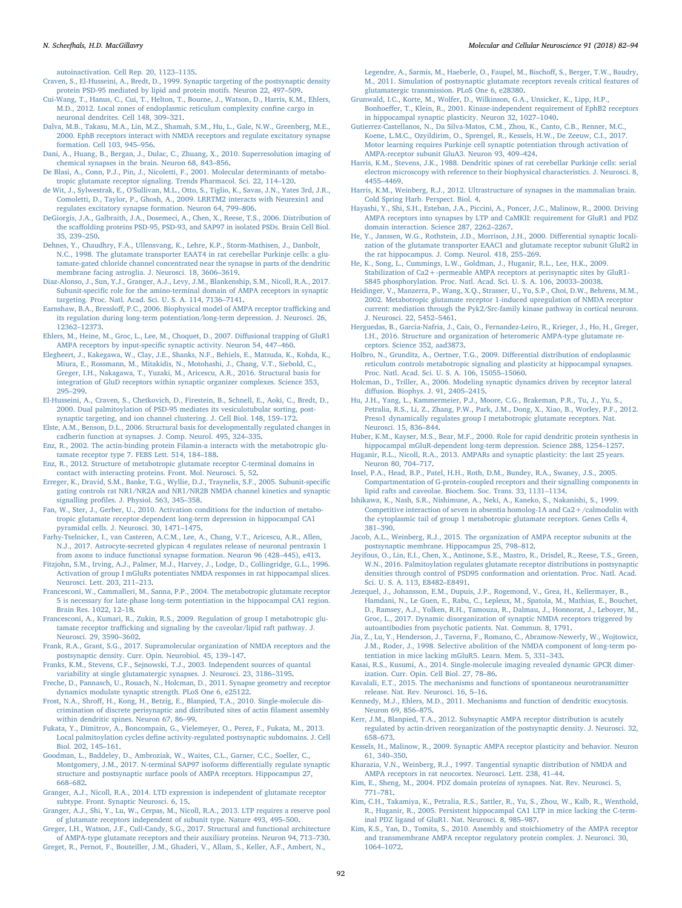[autoinactivation. Cell Rep. 20, 1123](http://refhub.elsevier.com/S1044-7431(17)30405-0/rf0140)–1135.

- <span id="page-10-35"></span>[Craven, S., El-Husseini, A., Bredt, D., 1999. Synaptic targeting of the postsynaptic density](http://refhub.elsevier.com/S1044-7431(17)30405-0/rf0145) [protein PSD-95 mediated by lipid and protein motifs. Neuron 22, 497](http://refhub.elsevier.com/S1044-7431(17)30405-0/rf0145)–509.
- <span id="page-10-24"></span>[Cui-Wang, T., Hanus, C., Cui, T., Helton, T., Bourne, J., Watson, D., Harris, K.M., Ehlers,](http://refhub.elsevier.com/S1044-7431(17)30405-0/rf0150) [M.D., 2012. Local zones of endoplasmic reticulum complexity con](http://refhub.elsevier.com/S1044-7431(17)30405-0/rf0150)fine cargo in [neuronal dendrites. Cell 148, 309](http://refhub.elsevier.com/S1044-7431(17)30405-0/rf0150)–321.
- <span id="page-10-50"></span>[Dalva, M.B., Takasu, M.A., Lin, M.Z., Shamah, S.M., Hu, L., Gale, N.W., Greenberg, M.E.,](http://refhub.elsevier.com/S1044-7431(17)30405-0/rf0155) [2000. EphB receptors interact with NMDA receptors and regulate excitatory synapse](http://refhub.elsevier.com/S1044-7431(17)30405-0/rf0155) [formation. Cell 103, 945](http://refhub.elsevier.com/S1044-7431(17)30405-0/rf0155)–956.
- <span id="page-10-7"></span>[Dani, A., Huang, B., Bergan, J., Dulac, C., Zhuang, X., 2010. Superresolution imaging of](http://refhub.elsevier.com/S1044-7431(17)30405-0/rf0160) [chemical synapses in the brain. Neuron 68, 843](http://refhub.elsevier.com/S1044-7431(17)30405-0/rf0160)–856.
- <span id="page-10-55"></span>[De Blasi, A., Conn, P.J., Pin, J., Nicoletti, F., 2001. Molecular determinants of metabo](http://refhub.elsevier.com/S1044-7431(17)30405-0/rf0165)[tropic glutamate receptor signaling. Trends Pharmacol. Sci. 22, 114](http://refhub.elsevier.com/S1044-7431(17)30405-0/rf0165)–120.
- <span id="page-10-52"></span>[de Wit, J., Sylwestrak, E., O'Sullivan, M.L., Otto, S., Tiglio, K., Savas, J.N., Yates 3rd, J.R.,](http://refhub.elsevier.com/S1044-7431(17)30405-0/rf0170) [Comoletti, D., Taylor, P., Ghosh, A., 2009. LRRTM2 interacts with Neurexin1 and](http://refhub.elsevier.com/S1044-7431(17)30405-0/rf0170) [regulates excitatory synapse formation. Neuron 64, 799](http://refhub.elsevier.com/S1044-7431(17)30405-0/rf0170)–806.
- <span id="page-10-31"></span>[DeGiorgis, J.A., Galbraith, J.A., Dosemeci, A., Chen, X., Reese, T.S., 2006. Distribution of](http://refhub.elsevier.com/S1044-7431(17)30405-0/rf0175) the scaff[olding proteins PSD-95, PSD-93, and SAP97 in isolated PSDs. Brain Cell Biol.](http://refhub.elsevier.com/S1044-7431(17)30405-0/rf0175) [35, 239](http://refhub.elsevier.com/S1044-7431(17)30405-0/rf0175)–250.
- <span id="page-10-3"></span>[Dehnes, Y., Chaudhry, F.A., Ullensvang, K., Lehre, K.P., Storm-Mathisen, J., Danbolt,](http://refhub.elsevier.com/S1044-7431(17)30405-0/rf0180) [N.C., 1998. The glutamate transporter EAAT4 in rat cerebellar Purkinje cells: a glu](http://refhub.elsevier.com/S1044-7431(17)30405-0/rf0180)[tamate-gated chloride channel concentrated near the synapse in parts of the dendritic](http://refhub.elsevier.com/S1044-7431(17)30405-0/rf0180) [membrane facing astroglia. J. Neurosci. 18, 3606](http://refhub.elsevier.com/S1044-7431(17)30405-0/rf0180)–3619.
- <span id="page-10-47"></span>[Diaz-Alonso, J., Sun, Y.J., Granger, A.J., Levy, J.M., Blankenship, S.M., Nicoll, R.A., 2017.](http://refhub.elsevier.com/S1044-7431(17)30405-0/rf0185) Subunit-specifi[c role for the amino-terminal domain of AMPA receptors in synaptic](http://refhub.elsevier.com/S1044-7431(17)30405-0/rf0185) [targeting. Proc. Natl. Acad. Sci. U. S. A. 114, 7136](http://refhub.elsevier.com/S1044-7431(17)30405-0/rf0185)–7141.
- <span id="page-10-57"></span>Earnshaw, B.A., Bressloff[, P.C., 2006. Biophysical model of AMPA receptor tra](http://refhub.elsevier.com/S1044-7431(17)30405-0/rf0190)fficking and [its regulation during long-term potentiation/long-term depression. J. Neurosci. 26,](http://refhub.elsevier.com/S1044-7431(17)30405-0/rf0190) 12362–[12373.](http://refhub.elsevier.com/S1044-7431(17)30405-0/rf0190)
- <span id="page-10-38"></span>[Ehlers, M., Heine, M., Groc, L., Lee, M., Choquet, D., 2007. Di](http://refhub.elsevier.com/S1044-7431(17)30405-0/rf0195)ffusional trapping of GluR1 AMPA receptors by input-specifi[c synaptic activity. Neuron 54, 447](http://refhub.elsevier.com/S1044-7431(17)30405-0/rf0195)–460.
- <span id="page-10-48"></span>[Elegheert, J., Kakegawa, W., Clay, J.E., Shanks, N.F., Behiels, E., Matsuda, K., Kohda, K.,](http://refhub.elsevier.com/S1044-7431(17)30405-0/rf0200) [Miura, E., Rossmann, M., Mitakidis, N., Motohashi, J., Chang, V.T., Siebold, C.,](http://refhub.elsevier.com/S1044-7431(17)30405-0/rf0200) [Greger, I.H., Nakagawa, T., Yuzaki, M., Aricescu, A.R., 2016. Structural basis for](http://refhub.elsevier.com/S1044-7431(17)30405-0/rf0200) [integration of GluD receptors within synaptic organizer complexes. Science 353,](http://refhub.elsevier.com/S1044-7431(17)30405-0/rf0200) 295–[299](http://refhub.elsevier.com/S1044-7431(17)30405-0/rf0200).
- <span id="page-10-36"></span>[El-Husseini, A., Craven, S., Chetkovich, D., Firestein, B., Schnell, E., Aoki, C., Bredt, D.,](http://refhub.elsevier.com/S1044-7431(17)30405-0/rf0205) [2000. Dual palmitoylation of PSD-95 mediates its vesiculotubular sorting, post](http://refhub.elsevier.com/S1044-7431(17)30405-0/rf0205)[synaptic targeting, and ion channel clustering. J. Cell Biol. 148, 159](http://refhub.elsevier.com/S1044-7431(17)30405-0/rf0205)-172.
- <span id="page-10-56"></span>[Elste, A.M., Benson, D.L., 2006. Structural basis for developmentally regulated changes in](http://refhub.elsevier.com/S1044-7431(17)30405-0/rf0210) [cadherin function at synapses. J. Comp. Neurol. 495, 324](http://refhub.elsevier.com/S1044-7431(17)30405-0/rf0210)–335.
- <span id="page-10-44"></span>[Enz, R., 2002. The actin-binding protein Filamin-a interacts with the metabotropic glu](http://refhub.elsevier.com/S1044-7431(17)30405-0/rf0215)[tamate receptor type 7. FEBS Lett. 514, 184](http://refhub.elsevier.com/S1044-7431(17)30405-0/rf0215)–188.
- <span id="page-10-43"></span>Enz, [R., 2012. Structure of metabotropic glutamate receptor C-terminal domains in](http://refhub.elsevier.com/S1044-7431(17)30405-0/rf0220) [contact with interacting proteins. Front. Mol. Neurosci. 5, 52.](http://refhub.elsevier.com/S1044-7431(17)30405-0/rf0220)
- <span id="page-10-2"></span>[Erreger, K., Dravid, S.M., Banke, T.G., Wyllie, D.J., Traynelis, S.F., 2005. Subunit-speci](http://refhub.elsevier.com/S1044-7431(17)30405-0/rf0225)fic [gating controls rat NR1/NR2A and NR1/NR2B NMDA channel kinetics and synaptic](http://refhub.elsevier.com/S1044-7431(17)30405-0/rf0225) signalling profi[les. J. Physiol. 563, 345](http://refhub.elsevier.com/S1044-7431(17)30405-0/rf0225)–358.
- <span id="page-10-25"></span>[Fan, W., Ster, J., Gerber, U., 2010. Activation conditions for the induction of metabo](http://refhub.elsevier.com/S1044-7431(17)30405-0/rf0230)[tropic glutamate receptor-dependent long-term depression in hippocampal CA1](http://refhub.elsevier.com/S1044-7431(17)30405-0/rf0230) [pyramidal cells. J. Neurosci. 30, 1471](http://refhub.elsevier.com/S1044-7431(17)30405-0/rf0230)–1475.
- <span id="page-10-49"></span>[Farhy-Tselnicker, I., van Casteren, A.C.M., Lee, A., Chang, V.T., Aricescu, A.R., Allen,](http://refhub.elsevier.com/S1044-7431(17)30405-0/rf0235) [N.J., 2017. Astrocyte-secreted glypican 4 regulates release of neuronal pentraxin 1](http://refhub.elsevier.com/S1044-7431(17)30405-0/rf0235) [from axons to induce functional synapse formation. Neuron 96 \(428](http://refhub.elsevier.com/S1044-7431(17)30405-0/rf0235)–445), e413.
- <span id="page-10-17"></span>[Fitzjohn, S.M., Irving, A.J., Palmer, M.J., Harvey, J., Lodge, D., Collingridge, G.L., 1996.](http://refhub.elsevier.com/S1044-7431(17)30405-0/rf0240) [Activation of group I mGluRs potentiates NMDA responses in rat hippocampal slices.](http://refhub.elsevier.com/S1044-7431(17)30405-0/rf0240) [Neurosci. Lett. 203, 211](http://refhub.elsevier.com/S1044-7431(17)30405-0/rf0240)–213.
- <span id="page-10-19"></span>[Francesconi, W., Cammalleri, M., Sanna, P.P., 2004. The metabotropic glutamate receptor](http://refhub.elsevier.com/S1044-7431(17)30405-0/rf0245) [5 is necessary for late-phase long-term potentiation in the hippocampal CA1 region.](http://refhub.elsevier.com/S1044-7431(17)30405-0/rf0245) [Brain Res. 1022, 12](http://refhub.elsevier.com/S1044-7431(17)30405-0/rf0245)–18.
- <span id="page-10-12"></span>[Francesconi, A., Kumari, R., Zukin, R.S., 2009. Regulation of group I metabotropic glu](http://refhub.elsevier.com/S1044-7431(17)30405-0/rf0250)tamate receptor traffi[cking and signaling by the caveolar/lipid raft pathway. J.](http://refhub.elsevier.com/S1044-7431(17)30405-0/rf0250) [Neurosci. 29, 3590](http://refhub.elsevier.com/S1044-7431(17)30405-0/rf0250)–3602.
- <span id="page-10-42"></span>[Frank, R.A., Grant, S.G., 2017. Supramolecular organization of NMDA receptors and the](http://refhub.elsevier.com/S1044-7431(17)30405-0/rf0255) [postsynaptic density. Curr. Opin. Neurobiol. 45, 139](http://refhub.elsevier.com/S1044-7431(17)30405-0/rf0255)–147.
- <span id="page-10-0"></span>[Franks, K.M., Stevens, C.F., Sejnowski, T.J., 2003. Independent sources of quantal](http://refhub.elsevier.com/S1044-7431(17)30405-0/rf0260) [variability at single glutamatergic synapses. J. Neurosci. 23, 3186](http://refhub.elsevier.com/S1044-7431(17)30405-0/rf0260)–3195.
- <span id="page-10-9"></span>[Freche, D., Pannasch, U., Rouach, N., Holcman, D., 2011. Synapse geometry and receptor](http://refhub.elsevier.com/S1044-7431(17)30405-0/rf0265) [dynamics modulate synaptic strength. PLoS One 6, e25122.](http://refhub.elsevier.com/S1044-7431(17)30405-0/rf0265)
- <span id="page-10-59"></span>Frost, N.A., Shroff[, H., Kong, H., Betzig, E., Blanpied, T.A., 2010. Single-molecule dis](http://refhub.elsevier.com/S1044-7431(17)30405-0/rf0270)[crimination of discrete perisynaptic and distributed sites of actin](http://refhub.elsevier.com/S1044-7431(17)30405-0/rf0270) filament assembly [within dendritic spines. Neuron 67, 86](http://refhub.elsevier.com/S1044-7431(17)30405-0/rf0270)–99.
- <span id="page-10-37"></span>[Fukata, Y., Dimitrov, A., Boncompain, G., Vielemeyer, O., Perez, F., Fukata, M., 2013.](http://refhub.elsevier.com/S1044-7431(17)30405-0/rf0275) Local palmitoylation cycles defi[ne activity-regulated postsynaptic subdomains. J. Cell](http://refhub.elsevier.com/S1044-7431(17)30405-0/rf0275) [Biol. 202, 145](http://refhub.elsevier.com/S1044-7431(17)30405-0/rf0275)–161.
- <span id="page-10-32"></span>[Goodman, L., Baddeley, D., Ambroziak, W., Waites, C.L., Garner, C.C., Soeller, C.,](http://refhub.elsevier.com/S1044-7431(17)30405-0/rf0280) [Montgomery, J.M., 2017. N-terminal SAP97 isoforms di](http://refhub.elsevier.com/S1044-7431(17)30405-0/rf0280)fferentially regulate synaptic [structure and postsynaptic surface pools of AMPA receptors. Hippocampus 27,](http://refhub.elsevier.com/S1044-7431(17)30405-0/rf0280) 668–[682](http://refhub.elsevier.com/S1044-7431(17)30405-0/rf0280).
- <span id="page-10-29"></span>[Granger, A.J., Nicoll, R.A., 2014. LTD expression is independent of glutamate receptor](http://refhub.elsevier.com/S1044-7431(17)30405-0/rf0285) [subtype. Front. Synaptic Neurosci. 6, 15](http://refhub.elsevier.com/S1044-7431(17)30405-0/rf0285).
- <span id="page-10-30"></span>[Granger, A.J., Shi, Y., Lu, W., Cerpas, M., Nicoll, R.A., 2013. LTP requires a reserve pool](http://refhub.elsevier.com/S1044-7431(17)30405-0/rf0290) [of glutamate receptors independent of subunit type. Nature 493, 495](http://refhub.elsevier.com/S1044-7431(17)30405-0/rf0290)–500.

<span id="page-10-5"></span><span id="page-10-1"></span>[Greger, I.H., Watson, J.F., Cull-Candy, S.G., 2017. Structural and functional architecture](http://refhub.elsevier.com/S1044-7431(17)30405-0/rf0295) [of AMPA-type glutamate receptors and their auxiliary proteins. Neuron 94, 713](http://refhub.elsevier.com/S1044-7431(17)30405-0/rf0295)–730. [Greget, R., Pernot, F., Bouteiller, J.M., Ghaderi, V., Allam, S., Keller, A.F., Ambert, N.,](http://refhub.elsevier.com/S1044-7431(17)30405-0/rf0300)

Legendre, [A., Sarmis, M., Haeberle, O., Faupel, M., Bischo](http://refhub.elsevier.com/S1044-7431(17)30405-0/rf0300)ff, S., Berger, T.W., Baudry, [M., 2011. Simulation of postsynaptic glutamate receptors reveals critical features of](http://refhub.elsevier.com/S1044-7431(17)30405-0/rf0300) [glutamatergic transmission. PLoS One 6, e28380](http://refhub.elsevier.com/S1044-7431(17)30405-0/rf0300).

- <span id="page-10-51"></span>[Grunwald, I.C., Korte, M., Wolfer, D., Wilkinson, G.A., Unsicker, K., Lipp, H.P.,](http://refhub.elsevier.com/S1044-7431(17)30405-0/rf0305) Bonhoeff[er, T., Klein, R., 2001. Kinase-independent requirement of EphB2 receptors](http://refhub.elsevier.com/S1044-7431(17)30405-0/rf0305) [in hippocampal synaptic plasticity. Neuron 32, 1027](http://refhub.elsevier.com/S1044-7431(17)30405-0/rf0305)–1040.
- <span id="page-10-15"></span>[Gutierrez-Castellanos, N., Da Silva-Matos, C.M., Zhou, K., Canto, C.B., Renner, M.C.,](http://refhub.elsevier.com/S1044-7431(17)30405-0/rf0310) [Koene, L.M.C., Ozyildirim, O., Sprengel, R., Kessels, H.W., De Zeeuw, C.I., 2017.](http://refhub.elsevier.com/S1044-7431(17)30405-0/rf0310) [Motor learning requires Purkinje cell synaptic potentiation through activation of](http://refhub.elsevier.com/S1044-7431(17)30405-0/rf0310) [AMPA-receptor subunit GluA3. Neuron 93, 409](http://refhub.elsevier.com/S1044-7431(17)30405-0/rf0310)–424.
- <span id="page-10-23"></span>[Harris, K.M., Stevens, J.K., 1988. Dendritic spines of rat cerebellar Purkinje cells: serial](http://refhub.elsevier.com/S1044-7431(17)30405-0/rf0315) [electron microscopy with reference to their biophysical characteristics. J. Neurosci. 8,](http://refhub.elsevier.com/S1044-7431(17)30405-0/rf0315) 4455–[4469](http://refhub.elsevier.com/S1044-7431(17)30405-0/rf0315).
- <span id="page-10-41"></span>[Harris, K.M., Weinberg, R.J., 2012. Ultrastructure of synapses in the mammalian brain.](http://refhub.elsevier.com/S1044-7431(17)30405-0/rf0320) [Cold Spring Harb. Perspect. Biol. 4](http://refhub.elsevier.com/S1044-7431(17)30405-0/rf0320).
- <span id="page-10-28"></span>[Hayashi, Y., Shi, S.H., Esteban, J.A., Piccini, A., Poncer, J.C., Malinow, R., 2000. Driving](http://refhub.elsevier.com/S1044-7431(17)30405-0/rf0325) [AMPA receptors into synapses by LTP and CaMKII: requirement for GluR1 and PDZ](http://refhub.elsevier.com/S1044-7431(17)30405-0/rf0325) [domain interaction. Science 287, 2262](http://refhub.elsevier.com/S1044-7431(17)30405-0/rf0325)–2267.
- <span id="page-10-4"></span>[He, Y., Janssen, W.G., Rothstein, J.D., Morrison, J.H., 2000. Di](http://refhub.elsevier.com/S1044-7431(17)30405-0/rf0330)fferential synaptic locali[zation of the glutamate transporter EAAC1 and glutamate receptor subunit GluR2 in](http://refhub.elsevier.com/S1044-7431(17)30405-0/rf0330) [the rat hippocampus. J. Comp. Neurol. 418, 255](http://refhub.elsevier.com/S1044-7431(17)30405-0/rf0330)–269.
- <span id="page-10-33"></span>[He, K., Song, L., Cummings, L.W., Goldman, J., Huganir, R.L., Lee, H.K., 2009.](http://refhub.elsevier.com/S1044-7431(17)30405-0/rf0335) [Stabilization of Ca2+-permeable AMPA receptors at perisynaptic sites by GluR1-](http://refhub.elsevier.com/S1044-7431(17)30405-0/rf0335) [S845 phosphorylation. Proc. Natl. Acad. Sci. U. S. A. 106, 20033](http://refhub.elsevier.com/S1044-7431(17)30405-0/rf0335)–20038.
- <span id="page-10-18"></span>[Heidinger, V., Manzerra, P., Wang, X.Q., Strasser, U., Yu, S.P., Choi, D.W., Behrens, M.M.,](http://refhub.elsevier.com/S1044-7431(17)30405-0/rf0340) [2002. Metabotropic glutamate receptor 1-induced upregulation of NMDA receptor](http://refhub.elsevier.com/S1044-7431(17)30405-0/rf0340) [current: mediation through the Pyk2/Src-family kinase pathway in cortical neurons.](http://refhub.elsevier.com/S1044-7431(17)30405-0/rf0340) [J. Neurosci. 22, 5452](http://refhub.elsevier.com/S1044-7431(17)30405-0/rf0340)–5461.
- <span id="page-10-53"></span>[Herguedas, B., Garcia-Nafria, J., Cais, O., Fernandez-Leiro, R., Krieger, J., Ho, H., Greger,](http://refhub.elsevier.com/S1044-7431(17)30405-0/rf0345) [I.H., 2016. Structure and organization of heteromeric AMPA-type glutamate re](http://refhub.elsevier.com/S1044-7431(17)30405-0/rf0345)[ceptors. Science 352, aad3873](http://refhub.elsevier.com/S1044-7431(17)30405-0/rf0345).
- <span id="page-10-22"></span>[Holbro, N., Grunditz, A., Oertner, T.G., 2009. Di](http://refhub.elsevier.com/S1044-7431(17)30405-0/rf0350)fferential distribution of endoplasmic [reticulum controls metabotropic signaling and plasticity at hippocampal synapses.](http://refhub.elsevier.com/S1044-7431(17)30405-0/rf0350) [Proc. Natl. Acad. Sci. U. S. A. 106, 15055](http://refhub.elsevier.com/S1044-7431(17)30405-0/rf0350)–15060.
- <span id="page-10-58"></span>[Holcman, D., Triller, A., 2006. Modeling synaptic dynamics driven by receptor lateral](http://refhub.elsevier.com/S1044-7431(17)30405-0/rf0355) diff[usion. Biophys. J. 91, 2405](http://refhub.elsevier.com/S1044-7431(17)30405-0/rf0355)–2415.
- <span id="page-10-46"></span>[Hu, J.H., Yang, L., Kammermeier, P.J., Moore, C.G., Brakeman, P.R., Tu, J., Yu, S.,](http://refhub.elsevier.com/S1044-7431(17)30405-0/rf0360) [Petralia, R.S., Li, Z., Zhang, P.W., Park, J.M., Dong, X., Xiao, B., Worley, P.F., 2012.](http://refhub.elsevier.com/S1044-7431(17)30405-0/rf0360) [Preso1 dynamically regulates group I metabotropic glutamate receptors. Nat.](http://refhub.elsevier.com/S1044-7431(17)30405-0/rf0360) [Neurosci. 15, 836](http://refhub.elsevier.com/S1044-7431(17)30405-0/rf0360)–844.
- <span id="page-10-21"></span>[Huber, K.M., Kayser, M.S., Bear, M.F., 2000. Role for rapid dendritic protein synthesis in](http://refhub.elsevier.com/S1044-7431(17)30405-0/rf0365) [hippocampal mGluR-dependent long-term depression. Science 288, 1254](http://refhub.elsevier.com/S1044-7431(17)30405-0/rf0365)–1257.

<span id="page-10-16"></span>[Huganir, R.L., Nicoll, R.A., 2013. AMPARs and synaptic plasticity: the last 25 years.](http://refhub.elsevier.com/S1044-7431(17)30405-0/rf0370) [Neuron 80, 704](http://refhub.elsevier.com/S1044-7431(17)30405-0/rf0370)–717.

- <span id="page-10-13"></span>[Insel, P.A., Head, B.P., Patel, H.H., Roth, D.M., Bundey, R.A., Swaney, J.S., 2005.](http://refhub.elsevier.com/S1044-7431(17)30405-0/rf0375) [Compartmentation of G-protein-coupled receptors and their signalling components in](http://refhub.elsevier.com/S1044-7431(17)30405-0/rf0375) [lipid rafts and caveolae. Biochem. Soc. Trans. 33, 1131](http://refhub.elsevier.com/S1044-7431(17)30405-0/rf0375)–1134.
- <span id="page-10-45"></span>[Ishikawa, K., Nash, S.R., Nishimune, A., Neki, A., Kaneko, S., Nakanishi, S., 1999.](http://refhub.elsevier.com/S1044-7431(17)30405-0/rf0380) [Competitive interaction of seven in absentia homolog-1A and Ca2+/calmodulin with](http://refhub.elsevier.com/S1044-7431(17)30405-0/rf0380) [the cytoplasmic tail of group 1 metabotropic glutamate receptors. Genes Cells 4,](http://refhub.elsevier.com/S1044-7431(17)30405-0/rf0380) 381–[390](http://refhub.elsevier.com/S1044-7431(17)30405-0/rf0380).
- <span id="page-10-8"></span>Jacob, [A.L., Weinberg, R.J., 2015. The organization of AMPA receptor subunits at the](http://refhub.elsevier.com/S1044-7431(17)30405-0/rf0385) [postsynaptic membrane. Hippocampus 25, 798](http://refhub.elsevier.com/S1044-7431(17)30405-0/rf0385)–812.
- <span id="page-10-40"></span>[Jeyifous, O., Lin, E.I., Chen, X., Antinone, S.E., Mastro, R., Drisdel, R., Reese, T.S., Green,](http://refhub.elsevier.com/S1044-7431(17)30405-0/rf0390) [W.N., 2016. Palmitoylation regulates glutamate receptor distributions in postsynaptic](http://refhub.elsevier.com/S1044-7431(17)30405-0/rf0390) [densities through control of PSD95 conformation and orientation. Proc. Natl. Acad.](http://refhub.elsevier.com/S1044-7431(17)30405-0/rf0390) [Sci. U. S. A. 113, E8482](http://refhub.elsevier.com/S1044-7431(17)30405-0/rf0390)–E8491.
- <span id="page-10-10"></span>[Jezequel, J., Johansson, E.M., Dupuis, J.P., Rogemond, V., Grea, H., Kellermayer, B.,](http://refhub.elsevier.com/S1044-7431(17)30405-0/rf0395) [Hamdani, N., Le Guen, E., Rabu, C., Lepleux, M., Spatola, M., Mathias, E., Bouchet,](http://refhub.elsevier.com/S1044-7431(17)30405-0/rf0395) [D., Ramsey, A.J., Yolken, R.H., Tamouza, R., Dalmau, J., Honnorat, J., Leboyer, M.,](http://refhub.elsevier.com/S1044-7431(17)30405-0/rf0395) [Groc, L., 2017. Dynamic disorganization of synaptic NMDA receptors triggered by](http://refhub.elsevier.com/S1044-7431(17)30405-0/rf0395) [autoantibodies from psychotic patients. Nat. Commun. 8, 1791](http://refhub.elsevier.com/S1044-7431(17)30405-0/rf0395).
- <span id="page-10-20"></span>[Jia, Z., Lu, Y., Henderson, J., Taverna, F., Romano, C., Abramow-Newerly, W., Wojtowicz,](http://refhub.elsevier.com/S1044-7431(17)30405-0/rf0400) [J.M., Roder, J., 1998. Selective abolition of the NMDA component of long-term po](http://refhub.elsevier.com/S1044-7431(17)30405-0/rf0400)[tentiation in mice lacking mGluR5. Learn. Mem. 5, 331](http://refhub.elsevier.com/S1044-7431(17)30405-0/rf0400)–343.
- <span id="page-10-11"></span>[Kasai, R.S., Kusumi, A., 2014. Single-molecule imaging revealed dynamic GPCR dimer](http://refhub.elsevier.com/S1044-7431(17)30405-0/rf0405)[ization. Curr. Opin. Cell Biol. 27, 78](http://refhub.elsevier.com/S1044-7431(17)30405-0/rf0405)–86.
- <span id="page-10-14"></span>[Kavalali, E.T., 2015. The mechanisms and functions of spontaneous neurotransmitter](http://refhub.elsevier.com/S1044-7431(17)30405-0/rf0410) [release. Nat. Rev. Neurosci. 16, 5](http://refhub.elsevier.com/S1044-7431(17)30405-0/rf0410)–16.
- <span id="page-10-27"></span>[Kennedy, M.J., Ehlers, M.D., 2011. Mechanisms and function of dendritic exocytosis.](http://refhub.elsevier.com/S1044-7431(17)30405-0/rf0415) [Neuron 69, 856](http://refhub.elsevier.com/S1044-7431(17)30405-0/rf0415)–875.
- <span id="page-10-39"></span>[Kerr, J.M., Blanpied, T.A., 2012. Subsynaptic AMPA receptor distribution is acutely](http://refhub.elsevier.com/S1044-7431(17)30405-0/rf0420) [regulated by actin-driven reorganization of the postsynaptic density. J. Neurosci. 32,](http://refhub.elsevier.com/S1044-7431(17)30405-0/rf0420) 658–[673](http://refhub.elsevier.com/S1044-7431(17)30405-0/rf0420).
- <span id="page-10-26"></span>[Kessels, H., Malinow, R., 2009. Synaptic AMPA receptor plasticity and behavior. Neuron](http://refhub.elsevier.com/S1044-7431(17)30405-0/rf0425) [61, 340](http://refhub.elsevier.com/S1044-7431(17)30405-0/rf0425)–350.
- <span id="page-10-6"></span>[Kharazia, V.N., Weinberg, R.J., 1997. Tangential synaptic distribution of NMDA and](http://refhub.elsevier.com/S1044-7431(17)30405-0/rf0430) [AMPA receptors in rat neocortex. Neurosci. Lett. 238, 41](http://refhub.elsevier.com/S1044-7431(17)30405-0/rf0430)–44.
- <span id="page-10-60"></span>[Kim, E., Sheng, M., 2004. PDZ domain proteins of synapses. Nat. Rev. Neurosci. 5,](http://refhub.elsevier.com/S1044-7431(17)30405-0/rf0435) 771–[781](http://refhub.elsevier.com/S1044-7431(17)30405-0/rf0435).
- <span id="page-10-34"></span>[Kim, C.H., Takamiya, K., Petralia, R.S., Sattler, R., Yu, S., Zhou, W., Kalb, R., Wenthold,](http://refhub.elsevier.com/S1044-7431(17)30405-0/rf0440) [R., Huganir, R., 2005. Persistent hippocampal CA1 LTP in mice lacking the C-term](http://refhub.elsevier.com/S1044-7431(17)30405-0/rf0440)[inal PDZ ligand of GluR1. Nat. Neurosci. 8, 985](http://refhub.elsevier.com/S1044-7431(17)30405-0/rf0440)–987.
- <span id="page-10-54"></span>[Kim, K.S., Yan, D., Tomita, S., 2010. Assembly and stoichiometry of the AMPA receptor](http://refhub.elsevier.com/S1044-7431(17)30405-0/rf0445) [and transmembrane AMPA receptor regulatory protein complex. J. Neurosci. 30,](http://refhub.elsevier.com/S1044-7431(17)30405-0/rf0445) 1064–[1072](http://refhub.elsevier.com/S1044-7431(17)30405-0/rf0445).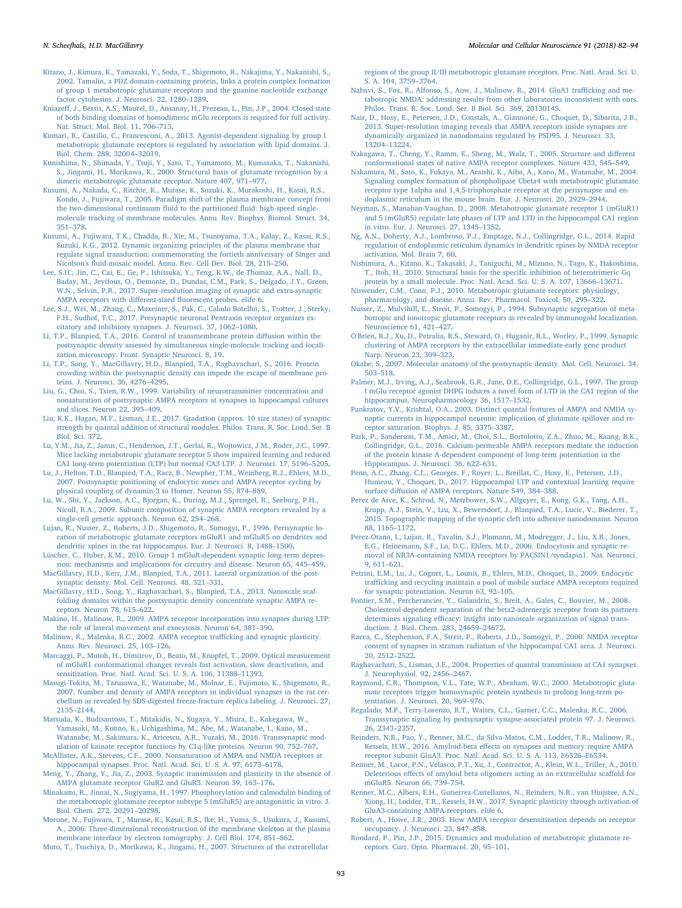- <span id="page-11-44"></span>[Kitano, J., Kimura, K., Yamazaki, Y., Soda, T., Shigemoto, R., Nakajima, Y., Nakanishi, S.,](http://refhub.elsevier.com/S1044-7431(17)30405-0/rf0450) [2002. Tamalin, a PDZ domain-containing protein, links a protein complex formation](http://refhub.elsevier.com/S1044-7431(17)30405-0/rf0450) [of group 1 metabotropic glutamate receptors and the guanine nucleotide exchange](http://refhub.elsevier.com/S1044-7431(17)30405-0/rf0450) [factor cytohesins. J. Neurosci. 22, 1280](http://refhub.elsevier.com/S1044-7431(17)30405-0/rf0450)–1289.
- <span id="page-11-8"></span>Kniazeff[, J., Bessis, A.S., Maurel, D., Ansanay, H., Prezeau, L., Pin, J.P., 2004. Closed state](http://refhub.elsevier.com/S1044-7431(17)30405-0/rf0455) [of both binding domains of homodimeric mGlu receptors is required for full activity.](http://refhub.elsevier.com/S1044-7431(17)30405-0/rf0455) [Nat. Struct. Mol. Biol. 11, 706](http://refhub.elsevier.com/S1044-7431(17)30405-0/rf0455)–713.
- <span id="page-11-20"></span>[Kumari, R., Castillo, C., Francesconi, A., 2013. Agonist-dependent signaling by group I](http://refhub.elsevier.com/S1044-7431(17)30405-0/rf0460) [metabotropic glutamate receptors is regulated by association with lipid domains. J.](http://refhub.elsevier.com/S1044-7431(17)30405-0/rf0460) [Biol. Chem. 288, 32004](http://refhub.elsevier.com/S1044-7431(17)30405-0/rf0460)–32019.
- <span id="page-11-52"></span>[Kunishima, N., Shimada, Y., Tsuji, Y., Sato, T., Yamamoto, M., Kumasaka, T., Nakanishi,](http://refhub.elsevier.com/S1044-7431(17)30405-0/rf0465) [S., Jingami, H., Morikawa, K., 2000. Structural basis of glutamate recognition by a](http://refhub.elsevier.com/S1044-7431(17)30405-0/rf0465) [dimeric metabotropic glutamate receptor. Nature 407, 971](http://refhub.elsevier.com/S1044-7431(17)30405-0/rf0465)–977.
- <span id="page-11-55"></span>[Kusumi, A., Nakada, C., Ritchie, K., Murase, K., Suzuki, K., Murakoshi, H., Kasai, R.S.,](http://refhub.elsevier.com/S1044-7431(17)30405-0/rf0470) [Kondo, J., Fujiwara, T., 2005. Paradigm shift of the plasma membrane concept from](http://refhub.elsevier.com/S1044-7431(17)30405-0/rf0470) [the two-dimensional continuum](http://refhub.elsevier.com/S1044-7431(17)30405-0/rf0470) fluid to the partitioned fluid: high-speed single[molecule tracking of membrane molecules. Annu. Rev. Biophys. Biomol. Struct. 34,](http://refhub.elsevier.com/S1044-7431(17)30405-0/rf0470) 351–[378](http://refhub.elsevier.com/S1044-7431(17)30405-0/rf0470).
- <span id="page-11-22"></span>[Kusumi, A., Fujiwara, T.K., Chadda, R., Xie, M., Tsunoyama, T.A., Kalay, Z., Kasai, R.S.,](http://refhub.elsevier.com/S1044-7431(17)30405-0/rf0475) [Suzuki, K.G., 2012. Dynamic organizing principles of the plasma membrane that](http://refhub.elsevier.com/S1044-7431(17)30405-0/rf0475) [regulate signal transduction: commemorating the fortieth anniversary of Singer and](http://refhub.elsevier.com/S1044-7431(17)30405-0/rf0475) Nicolson's fl[uid-mosaic model. Annu. Rev. Cell Dev. Biol. 28, 215](http://refhub.elsevier.com/S1044-7431(17)30405-0/rf0475)–250.
- <span id="page-11-47"></span>[Lee, S.H., Jin, C., Cai, E., Ge, P., Ishitsuka, Y., Teng, K.W., de Thomaz, A.A., Nall, D.,](http://refhub.elsevier.com/S1044-7431(17)30405-0/rf0480) [Baday, M., Jeyifous, O., Demonte, D., Dundas, C.M., Park, S., Delgado, J.Y., Green,](http://refhub.elsevier.com/S1044-7431(17)30405-0/rf0480) [W.N., Selvin, P.R., 2017. Super-resolution imaging of synaptic and extra-synaptic](http://refhub.elsevier.com/S1044-7431(17)30405-0/rf0480) AMPA receptors with different-sized fl[uorescent probes. elife 6.](http://refhub.elsevier.com/S1044-7431(17)30405-0/rf0480)
- <span id="page-11-49"></span>[Lee, S.J., Wei, M., Zhang, C., Maxeiner, S., Pak, C., Calado Botelho, S., Trotter, J., Sterky,](http://refhub.elsevier.com/S1044-7431(17)30405-0/rf0485) [F.H., Sudhof, T.C., 2017. Presynaptic neuronal Pentraxin receptor organizes ex](http://refhub.elsevier.com/S1044-7431(17)30405-0/rf0485)[citatory and inhibitory synapses. J. Neurosci. 37, 1062](http://refhub.elsevier.com/S1044-7431(17)30405-0/rf0485)–1080.
- <span id="page-11-43"></span>[Li, T.P., Blanpied, T.A., 2016. Control of transmembrane protein di](http://refhub.elsevier.com/S1044-7431(17)30405-0/rf0490)ffusion within the [postsynaptic density assessed by simultaneous single-molecule tracking and locali](http://refhub.elsevier.com/S1044-7431(17)30405-0/rf0490)[zation microscopy. Front. Synaptic Neurosci. 8, 19.](http://refhub.elsevier.com/S1044-7431(17)30405-0/rf0490)
- <span id="page-11-51"></span>[Li, T.P., Song, Y., MacGillavry, H.D., Blanpied, T.A., Raghavachari, S., 2016. Protein](http://refhub.elsevier.com/S1044-7431(17)30405-0/rf0495) [crowding within the postsynaptic density can impede the escape of membrane pro](http://refhub.elsevier.com/S1044-7431(17)30405-0/rf0495)[teins. J. Neurosci. 36, 4276](http://refhub.elsevier.com/S1044-7431(17)30405-0/rf0495)–4295.
- <span id="page-11-5"></span>[Liu, G., Choi, S., Tsien, R.W., 1999. Variability of neurotransmitter concentration and](http://refhub.elsevier.com/S1044-7431(17)30405-0/rf0500) [nonsaturation of postsynaptic AMPA receptors at synapses in hippocampal cultures](http://refhub.elsevier.com/S1044-7431(17)30405-0/rf0500) [and slices. Neuron 22, 395](http://refhub.elsevier.com/S1044-7431(17)30405-0/rf0500)–409.
- <span id="page-11-26"></span>[Liu, K.K., Hagan, M.F., Lisman, J.E., 2017. Gradation \(approx. 10 size states\) of synaptic](http://refhub.elsevier.com/S1044-7431(17)30405-0/rf0505) [strength by quantal addition of structural modules. Philos. Trans. R. Soc. Lond. Ser. B](http://refhub.elsevier.com/S1044-7431(17)30405-0/rf0505) [Biol. Sci. 372.](http://refhub.elsevier.com/S1044-7431(17)30405-0/rf0505)
- <span id="page-11-32"></span>[Lu, Y.M., Jia, Z., Janus, C., Henderson, J.T., Gerlai, R., Wojtowicz, J.M., Roder, J.C., 1997.](http://refhub.elsevier.com/S1044-7431(17)30405-0/rf0510) [Mice lacking metabotropic glutamate receptor 5 show impaired learning and reduced](http://refhub.elsevier.com/S1044-7431(17)30405-0/rf0510) [CA1 long-term potentiation \(LTP\) but normal CA3 LTP. J. Neurosci. 17, 5196](http://refhub.elsevier.com/S1044-7431(17)30405-0/rf0510)–5205.
- <span id="page-11-24"></span>[Lu, J., Helton, T.D., Blanpied, T.A., Racz, B., Newpher, T.M., Weinberg, R.J., Ehlers, M.D.,](http://refhub.elsevier.com/S1044-7431(17)30405-0/rf0515) [2007. Postsynaptic positioning of endocytic zones and AMPA receptor cycling by](http://refhub.elsevier.com/S1044-7431(17)30405-0/rf0515) [physical coupling of dynamin-3 to Homer. Neuron 55, 874](http://refhub.elsevier.com/S1044-7431(17)30405-0/rf0515)–889.
- <span id="page-11-14"></span>[Lu, W., Shi, Y., Jackson, A.C., Bjorgan, K., During, M.J., Sprengel, R., Seeburg, P.H.,](http://refhub.elsevier.com/S1044-7431(17)30405-0/rf0520) [Nicoll, R.A., 2009. Subunit composition of synaptic AMPA receptors revealed by a](http://refhub.elsevier.com/S1044-7431(17)30405-0/rf0520) [single-cell genetic approach. Neuron 62, 254](http://refhub.elsevier.com/S1044-7431(17)30405-0/rf0520)–268.
- <span id="page-11-1"></span>[Lujan, R., Nusser, Z., Roberts, J.D., Shigemoto, R., Somogyi, P., 1996. Perisynaptic lo](http://refhub.elsevier.com/S1044-7431(17)30405-0/rf0525)[cation of metabotropic glutamate receptors mGluR1 and mGluR5 on dendrites and](http://refhub.elsevier.com/S1044-7431(17)30405-0/rf0525) dendritic [spines in the rat hippocampus. Eur. J. Neurosci. 8, 1488](http://refhub.elsevier.com/S1044-7431(17)30405-0/rf0525)–1500.
- <span id="page-11-30"></span>[Lüscher, C., Huber, K.M., 2010. Group 1 mGluR-dependent synaptic long-term depres](http://refhub.elsevier.com/S1044-7431(17)30405-0/rf0530)[sion: mechanisms and implications for circuitry and disease. Neuron 65, 445](http://refhub.elsevier.com/S1044-7431(17)30405-0/rf0530)–459.
- <span id="page-11-13"></span>[MacGillavry, H.D., Kerr, J.M., Blanpied, T.A., 2011. Lateral organization of the post](http://refhub.elsevier.com/S1044-7431(17)30405-0/rf0535)[synaptic density. Mol. Cell. Neurosci. 48, 321](http://refhub.elsevier.com/S1044-7431(17)30405-0/rf0535)–331.
- <span id="page-11-15"></span>[MacGillavry, H.D., Song, Y., Raghavachari, S., Blanpied, T.A., 2013. Nanoscale scaf](http://refhub.elsevier.com/S1044-7431(17)30405-0/rf0540)[folding domains within the postsynaptic density concentrate synaptic AMPA re](http://refhub.elsevier.com/S1044-7431(17)30405-0/rf0540)[ceptors. Neuron 78, 615](http://refhub.elsevier.com/S1044-7431(17)30405-0/rf0540)–622.
- <span id="page-11-36"></span>[Makino, H., Malinow, R., 2009. AMPA receptor incorporation into synapses during LTP:](http://refhub.elsevier.com/S1044-7431(17)30405-0/rf0545) [the role of lateral movement and exocytosis. Neuron 64, 381](http://refhub.elsevier.com/S1044-7431(17)30405-0/rf0545)–390.
- <span id="page-11-40"></span>[Malinow, R., Malenka, R.C., 2002. AMPA receptor tra](http://refhub.elsevier.com/S1044-7431(17)30405-0/rf0550)fficking and synaptic plasticity. [Annu. Rev. Neurosci. 25, 103](http://refhub.elsevier.com/S1044-7431(17)30405-0/rf0550)–126.
- <span id="page-11-10"></span>[Marcaggi, P., Mutoh, H., Dimitrov, D., Beato, M., Knopfel, T., 2009. Optical measurement](http://refhub.elsevier.com/S1044-7431(17)30405-0/rf0555) [of mGluR1 conformational changes reveals fast activation, slow deactivation, and](http://refhub.elsevier.com/S1044-7431(17)30405-0/rf0555) [sensitization. Proc. Natl. Acad. Sci. U. S. A. 106, 11388](http://refhub.elsevier.com/S1044-7431(17)30405-0/rf0555)–11393.
- <span id="page-11-12"></span>[Masugi-Tokita, M., Tarusawa, E., Watanabe, M., Molnar, E., Fujimoto, K., Shigemoto, R.,](http://refhub.elsevier.com/S1044-7431(17)30405-0/rf0560) [2007. Number and density of AMPA receptors in individual synapses in the rat cer](http://refhub.elsevier.com/S1044-7431(17)30405-0/rf0560)[ebellum as revealed by SDS-digested freeze-fracture replica labeling. J. Neurosci. 27,](http://refhub.elsevier.com/S1044-7431(17)30405-0/rf0560) [2135](http://refhub.elsevier.com/S1044-7431(17)30405-0/rf0560)–2144.
- <span id="page-11-46"></span>[Matsuda, K., Budisantoso, T., Mitakidis, N., Sugaya, Y., Miura, E., Kakegawa, W.,](http://refhub.elsevier.com/S1044-7431(17)30405-0/rf0565) [Yamasaki, M., Konno, K., Uchigashima, M., Abe, M., Watanabe, I., Kano, M.,](http://refhub.elsevier.com/S1044-7431(17)30405-0/rf0565) [Watanabe, M., Sakimura, K., Aricescu, A.R., Yuzaki, M., 2016. Transsynaptic mod](http://refhub.elsevier.com/S1044-7431(17)30405-0/rf0565)[ulation of kainate receptor functions by C1q-like proteins. Neuron 90, 752](http://refhub.elsevier.com/S1044-7431(17)30405-0/rf0565)–767.
- <span id="page-11-6"></span>[McAllister, A.K., Stevens, C.F., 2000. Nonsaturation of AMPA and NMDA receptors at](http://refhub.elsevier.com/S1044-7431(17)30405-0/rf0570) [hippocampal synapses. Proc. Natl. Acad. Sci. U. S. A. 97, 6173](http://refhub.elsevier.com/S1044-7431(17)30405-0/rf0570)–6178.
- <span id="page-11-27"></span>[Meng, Y., Zhang, Y., Jia, Z., 2003. Synaptic transmission and plasticity in the absence of](http://refhub.elsevier.com/S1044-7431(17)30405-0/rf0575) [AMPA glutamate receptor GluR2 and GluR3. Neuron 39, 163](http://refhub.elsevier.com/S1044-7431(17)30405-0/rf0575)–176.
- <span id="page-11-45"></span>[Minakami, R., Jinnai, N., Sugiyama, H., 1997. Phosphorylation and calmodulin binding of](http://refhub.elsevier.com/S1044-7431(17)30405-0/rf0580) [the metabotropic glutamate receptor subtype 5 \(mGluR5\) are antagonistic in vitro. J.](http://refhub.elsevier.com/S1044-7431(17)30405-0/rf0580) [Biol. Chem. 272, 20291](http://refhub.elsevier.com/S1044-7431(17)30405-0/rf0580)–20298.
- <span id="page-11-56"></span>[Morone, N., Fujiwara, T., Murase, K., Kasai, R.S., Ike, H., Yuasa, S., Usukura, J., Kusumi,](http://refhub.elsevier.com/S1044-7431(17)30405-0/rf0585) [A., 2006. Three-dimensional reconstruction of the membrane skeleton at the plasma](http://refhub.elsevier.com/S1044-7431(17)30405-0/rf0585) [membrane interface by electron tomography. J. Cell Biol. 174, 851](http://refhub.elsevier.com/S1044-7431(17)30405-0/rf0585)–862.

<span id="page-11-39"></span>[Muto, T., Tsuchiya, D., Morikawa, K., Jingami, H., 2007. Structures of the extracellular](http://refhub.elsevier.com/S1044-7431(17)30405-0/rf0590)

[regions of the group II/III metabotropic glutamate receptors. Proc. Natl. Acad. Sci. U.](http://refhub.elsevier.com/S1044-7431(17)30405-0/rf0590) [S. A. 104, 3759](http://refhub.elsevier.com/S1044-7431(17)30405-0/rf0590)–3764.

- <span id="page-11-48"></span>[Nabavi, S., Fox, R., Alfonso, S., Aow, J., Malinow, R., 2014. GluA1 tra](http://refhub.elsevier.com/S1044-7431(17)30405-0/rf0595)fficking and me[tabotropic NMDA: addressing results from other laboratories inconsistent with ours.](http://refhub.elsevier.com/S1044-7431(17)30405-0/rf0595) [Philos. Trans. R. Soc. Lond. Ser. B Biol. Sci. 369, 20130145](http://refhub.elsevier.com/S1044-7431(17)30405-0/rf0595).
- <span id="page-11-16"></span>[Nair, D., Hosy, E., Petersen, J.D., Constals, A., Giannone, G., Choquet, D., Sibarita, J.B.,](http://refhub.elsevier.com/S1044-7431(17)30405-0/rf0600) [2013. Super-resolution imaging reveals that AMPA receptors inside synapses are](http://refhub.elsevier.com/S1044-7431(17)30405-0/rf0600) [dynamically organized in nanodomains regulated by PSD95. J. Neurosci. 33,](http://refhub.elsevier.com/S1044-7431(17)30405-0/rf0600) 13204–[13224.](http://refhub.elsevier.com/S1044-7431(17)30405-0/rf0600)
- <span id="page-11-53"></span>[Nakagawa, T., Cheng, Y., Ramm, E., Sheng, M., Walz, T., 2005. Structure and di](http://refhub.elsevier.com/S1044-7431(17)30405-0/rf0605)fferent [conformational states of native AMPA receptor complexes. Nature 433, 545](http://refhub.elsevier.com/S1044-7431(17)30405-0/rf0605)–549.
- <span id="page-11-23"></span>[Nakamura, M., Sato, K., Fukaya, M., Araishi, K., Aiba, A., Kano, M., Watanabe, M., 2004.](http://refhub.elsevier.com/S1044-7431(17)30405-0/rf0610) [Signaling complex formation of phospholipase Cbeta4 with metabotropic glutamate](http://refhub.elsevier.com/S1044-7431(17)30405-0/rf0610) [receptor type 1alpha and 1,4,5-trisphosphate receptor at the perisynapse and en](http://refhub.elsevier.com/S1044-7431(17)30405-0/rf0610)[doplasmic reticulum in the mouse brain. Eur. J. Neurosci. 20, 2929](http://refhub.elsevier.com/S1044-7431(17)30405-0/rf0610)–2944.
- <span id="page-11-31"></span>Neyman, [S., Manahan-Vaughan, D., 2008. Metabotropic glutamate receptor 1 \(mGluR1\)](http://refhub.elsevier.com/S1044-7431(17)30405-0/rf0615) [and 5 \(mGluR5\) regulate late phases of LTP and LTD in the hippocampal CA1 region](http://refhub.elsevier.com/S1044-7431(17)30405-0/rf0615) [in vitro. Eur. J. Neurosci. 27, 1345](http://refhub.elsevier.com/S1044-7431(17)30405-0/rf0615)–1352.
- <span id="page-11-35"></span>[Ng, A.N., Doherty, A.J., Lombroso, P.J., Emptage, N.J., Collingridge, G.L., 2014. Rapid](http://refhub.elsevier.com/S1044-7431(17)30405-0/rf0620) [regulation of endoplasmic reticulum dynamics in dendritic spines by NMDA receptor](http://refhub.elsevier.com/S1044-7431(17)30405-0/rf0620) [activation. Mol. Brain 7, 60](http://refhub.elsevier.com/S1044-7431(17)30405-0/rf0620).
- <span id="page-11-38"></span>[Nishimura, A., Kitano, K., Takasaki, J., Taniguchi, M., Mizuno, N., Tago, K., Hakoshima,](http://refhub.elsevier.com/S1044-7431(17)30405-0/rf0625) [T., Itoh, H., 2010. Structural basis for the speci](http://refhub.elsevier.com/S1044-7431(17)30405-0/rf0625)fic inhibition of heterotrimeric Gq [protein by a small molecule. Proc. Natl. Acad. Sci. U. S. A. 107, 13666](http://refhub.elsevier.com/S1044-7431(17)30405-0/rf0625)–13671.

<span id="page-11-9"></span>[Niswender, C.M., Conn, P.J., 2010. Metabotropic glutamate receptors: physiology,](http://refhub.elsevier.com/S1044-7431(17)30405-0/rf0630) [pharmacology, and disease. Annu. Rev. Pharmacol. Toxicol. 50, 295](http://refhub.elsevier.com/S1044-7431(17)30405-0/rf0630)–322.

- <span id="page-11-2"></span>[Nusser, Z., Mulvihill, E., Streit, P., Somogyi, P., 1994. Subsynaptic segregation of meta](http://refhub.elsevier.com/S1044-7431(17)30405-0/rf0635)[botropic and ionotropic glutamate receptors as revealed by immunogold localization.](http://refhub.elsevier.com/S1044-7431(17)30405-0/rf0635) [Neuroscience 61, 421](http://refhub.elsevier.com/S1044-7431(17)30405-0/rf0635)-427.
- <span id="page-11-50"></span>[O'Brien, R.J., Xu, D., Petralia, R.S., Steward, O., Huganir, R.L., Worley, P., 1999. Synaptic](http://refhub.elsevier.com/S1044-7431(17)30405-0/rf0640) [clustering of AMPA receptors by the extracellular immediate-early gene product](http://refhub.elsevier.com/S1044-7431(17)30405-0/rf0640) [Narp. Neuron 23, 309](http://refhub.elsevier.com/S1044-7431(17)30405-0/rf0640)–323.
- <span id="page-11-0"></span>[Okabe, S., 2007. Molecular anatomy of the postsynaptic density. Mol. Cell. Neurosci. 34,](http://refhub.elsevier.com/S1044-7431(17)30405-0/rf0645) 503–[518](http://refhub.elsevier.com/S1044-7431(17)30405-0/rf0645).
- <span id="page-11-34"></span>[Palmer, M.J., Irving, A.J., Seabrook, G.R., Jane, D.E., Collingridge, G.L., 1997. The group](http://refhub.elsevier.com/S1044-7431(17)30405-0/rf0650) [I mGlu receptor agonist DHPG induces a novel form of LTD in the CA1 region of the](http://refhub.elsevier.com/S1044-7431(17)30405-0/rf0650) [hippocampus. Neuropharmacology 36, 1517](http://refhub.elsevier.com/S1044-7431(17)30405-0/rf0650)–1532.
- <span id="page-11-7"></span>[Pankratov, Y.V., Krishtal, O.A., 2003. Distinct quantal features of AMPA and NMDA sy](http://refhub.elsevier.com/S1044-7431(17)30405-0/rf0655)[naptic currents in hippocampal neurons: implication of glutamate spillover and re](http://refhub.elsevier.com/S1044-7431(17)30405-0/rf0655)[ceptor saturation. Biophys. J. 85, 3375](http://refhub.elsevier.com/S1044-7431(17)30405-0/rf0655)–3387.
- <span id="page-11-42"></span>[Park, P., Sanderson, T.M., Amici, M., Choi, S.L., Bortolotto, Z.A., Zhuo, M., Kaang, B.K.,](http://refhub.elsevier.com/S1044-7431(17)30405-0/rf0660) [Collingridge, G.L., 2016. Calcium-permeable AMPA receptors mediate the induction](http://refhub.elsevier.com/S1044-7431(17)30405-0/rf0660) [of the protein kinase A-dependent component of long-term potentiation in the](http://refhub.elsevier.com/S1044-7431(17)30405-0/rf0660) [Hippocampus. J. Neurosci. 36, 622](http://refhub.elsevier.com/S1044-7431(17)30405-0/rf0660)–631.
- <span id="page-11-37"></span>[Penn, A.C., Zhang, C.L., Georges, F., Royer, L., Breillat, C., Hosy, E., Petersen, J.D.,](http://refhub.elsevier.com/S1044-7431(17)30405-0/rf0665) [Humeau, Y., Choquet, D., 2017. Hippocampal LTP and contextual learning require](http://refhub.elsevier.com/S1044-7431(17)30405-0/rf0665) surface diff[usion of AMPA receptors. Nature 549, 384](http://refhub.elsevier.com/S1044-7431(17)30405-0/rf0665)–388.
- <span id="page-11-54"></span>[Perez de Arce, K., Schrod, N., Metzbower, S.W., Allgeyer, E., Kong, G.K., Tang, A.H.,](http://refhub.elsevier.com/S1044-7431(17)30405-0/rf0670) [Krupp, A.J., Stein, V., Liu, X., Bewersdorf, J., Blanpied, T.A., Lucic, V., Biederer, T.,](http://refhub.elsevier.com/S1044-7431(17)30405-0/rf0670) [2015. Topographic mapping of the synaptic cleft into adhesive nanodomains. Neuron](http://refhub.elsevier.com/S1044-7431(17)30405-0/rf0670) [88, 1165](http://refhub.elsevier.com/S1044-7431(17)30405-0/rf0670)–1172.
- <span id="page-11-17"></span>[Perez-Otano, I., Lujan, R., Tavalin, S.J., Plomann, M., Modregger, J., Liu, X.B., Jones,](http://refhub.elsevier.com/S1044-7431(17)30405-0/rf0675) [E.G., Heinemann, S.F., Lo, D.C., Ehlers, M.D., 2006. Endocytosis and synaptic re](http://refhub.elsevier.com/S1044-7431(17)30405-0/rf0675)[moval of NR3A-containing NMDA receptors by PACSIN1/syndapin1. Nat. Neurosci.](http://refhub.elsevier.com/S1044-7431(17)30405-0/rf0675) [9, 611](http://refhub.elsevier.com/S1044-7431(17)30405-0/rf0675)–621.
- <span id="page-11-25"></span>[Petrini, E.M., Lu, J., Cognet, L., Lounis, B., Ehlers, M.D., Choquet, D., 2009. Endocytic](http://refhub.elsevier.com/S1044-7431(17)30405-0/rf0680) traffi[cking and recycling maintain a pool of mobile surface AMPA receptors required](http://refhub.elsevier.com/S1044-7431(17)30405-0/rf0680) [for synaptic potentiation. Neuron 63, 92](http://refhub.elsevier.com/S1044-7431(17)30405-0/rf0680)–105.
- <span id="page-11-21"></span>[Pontier, S.M., Percherancier, Y., Galandrin, S., Breit, A., Gales, C., Bouvier, M., 2008.](http://refhub.elsevier.com/S1044-7431(17)30405-0/rf0685) [Cholesterol-dependent separation of the beta2-adrenergic receptor from its partners](http://refhub.elsevier.com/S1044-7431(17)30405-0/rf0685) determines signaling effi[cacy: insight into nanoscale organization of signal trans](http://refhub.elsevier.com/S1044-7431(17)30405-0/rf0685)[duction. J. Biol. Chem. 283, 24659](http://refhub.elsevier.com/S1044-7431(17)30405-0/rf0685)–24672.
- <span id="page-11-18"></span>[Racca, C., Stephenson, F.A., Streit, P., Roberts, J.D., Somogyi, P., 2000. NMDA receptor](http://refhub.elsevier.com/S1044-7431(17)30405-0/rf0690) [content of synapses in stratum radiatum of the hippocampal CA1 area. J. Neurosci.](http://refhub.elsevier.com/S1044-7431(17)30405-0/rf0690) [20, 2512](http://refhub.elsevier.com/S1044-7431(17)30405-0/rf0690)–2522.
- <span id="page-11-3"></span>Raghavachari, [S., Lisman, J.E., 2004. Properties of quantal transmission at CA1 synapses.](http://refhub.elsevier.com/S1044-7431(17)30405-0/rf0695) [J. Neurophysiol. 92, 2456](http://refhub.elsevier.com/S1044-7431(17)30405-0/rf0695)–2467.
- <span id="page-11-33"></span>[Raymond, C.R., Thompson, V.L., Tate, W.P., Abraham, W.C., 2000. Metabotropic gluta](http://refhub.elsevier.com/S1044-7431(17)30405-0/rf0700)[mate receptors trigger homosynaptic protein synthesis to prolong long-term po](http://refhub.elsevier.com/S1044-7431(17)30405-0/rf0700)[tentiation. J. Neurosci. 20, 969](http://refhub.elsevier.com/S1044-7431(17)30405-0/rf0700)–976.
- <span id="page-11-41"></span>[Regalado, M.P., Terry-Lorenzo, R.T., Waites, C.L., Garner, C.C., Malenka, R.C., 2006.](http://refhub.elsevier.com/S1044-7431(17)30405-0/rf0705) [Transsynaptic signaling by postsynaptic synapse-associated protein 97. J. Neurosci.](http://refhub.elsevier.com/S1044-7431(17)30405-0/rf0705) [26, 2343](http://refhub.elsevier.com/S1044-7431(17)30405-0/rf0705)–2357.
- <span id="page-11-28"></span>[Reinders, N.R., Pao, Y., Renner, M.C., da Silva-Matos, C.M., Lodder, T.R., Malinow, R.,](http://refhub.elsevier.com/S1044-7431(17)30405-0/rf0710) Kessels, H.W., 2016. Amyloid-beta eff[ects on synapses and memory require AMPA](http://refhub.elsevier.com/S1044-7431(17)30405-0/rf0710) [receptor subunit GluA3. Proc. Natl. Acad. Sci. U. S. A. 113, E6526](http://refhub.elsevier.com/S1044-7431(17)30405-0/rf0710)–E6534.
- <span id="page-11-19"></span>[Renner, M., Lacor, P.N., Velasco, P.T., Xu, J., Contractor, A., Klein, W.L., Triller, A., 2010.](http://refhub.elsevier.com/S1044-7431(17)30405-0/rf0715) Deleterious eff[ects of amyloid beta oligomers acting as an extracellular sca](http://refhub.elsevier.com/S1044-7431(17)30405-0/rf0715)ffold for [mGluR5. Neuron 66, 739](http://refhub.elsevier.com/S1044-7431(17)30405-0/rf0715)–754.
- <span id="page-11-29"></span>[Renner, M.C., Albers, E.H., Gutierrez-Castellanos, N., Reinders, N.R., van Huijstee, A.N.,](http://refhub.elsevier.com/S1044-7431(17)30405-0/rf0720) [Xiong, H., Lodder, T.R., Kessels, H.W., 2017. Synaptic plasticity through activation of](http://refhub.elsevier.com/S1044-7431(17)30405-0/rf0720) [GluA3-containing AMPA-receptors. elife 6](http://refhub.elsevier.com/S1044-7431(17)30405-0/rf0720).
- <span id="page-11-4"></span>[Robert, A., Howe, J.R., 2003. How AMPA receptor desensitization depends on receptor](http://refhub.elsevier.com/S1044-7431(17)30405-0/rf0725) [occupancy. J. Neurosci. 23, 847](http://refhub.elsevier.com/S1044-7431(17)30405-0/rf0725)–858.
- <span id="page-11-11"></span>[Rondard, P., Pin, J.P., 2015. Dynamics and modulation of metabotropic glutamate re](http://refhub.elsevier.com/S1044-7431(17)30405-0/rf0730)[ceptors. Curr. Opin. Pharmacol. 20, 95](http://refhub.elsevier.com/S1044-7431(17)30405-0/rf0730)–101.